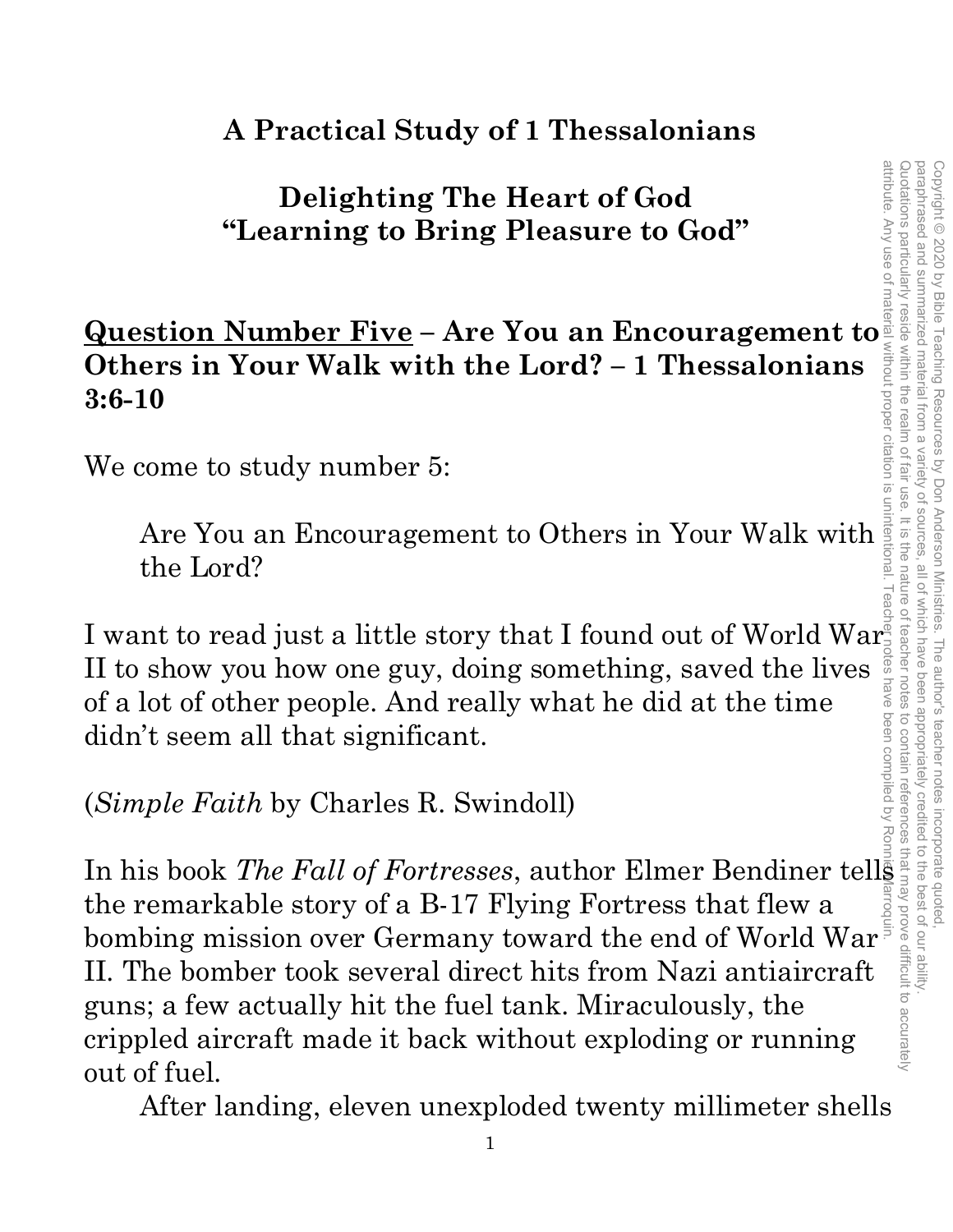#### **A Practical Study of 1 Thessalonians**

### **Delighting The Heart of God "Learning to Bring Pleasure to God"**

# **Delighting The Heart of God<br>
"Learning to Bring Pleasure to God"<br>
Question Number Five – Are You an Encouragement to<br>
Others in Your Walk with the Lord? – 1 Thessalonians<br>
3:6-10<br>
We come to study number 5:<br>
Are You an En Others in Your Walk with the Lord? – 1 Thessalonians 3:6-10**

We come to study number 5:

Are You an Encouragement to Others in Your Walk with the Lord?

I want to read just a little story that I found out of World War $\frac{a}{2}$ II to show you how one guy, doing something, saved the lives of a lot of other people. And really what he did at the time didn't seem all that significant.

(*Simple Faith* by Charles R. Swindoll)

Are You an Encouragement to Others in Your Walk with<br>
the Lord?<br>
I want to read just a little story that I found out of World War<br>
II to show you how one guy, doing something, saved the lives<br>
of a lot of other people. And the remarkable story of a B-17 Flying Fortress that flew a bombing mission over Germany toward the end of World War II. The bomber took several direct hits from Nazi antiaircraft guns; a few actually hit the fuel tank. Miraculously, the crippled aircraft made it back without exploding or running out of fuel.

After landing, eleven unexploded twenty millimeter shells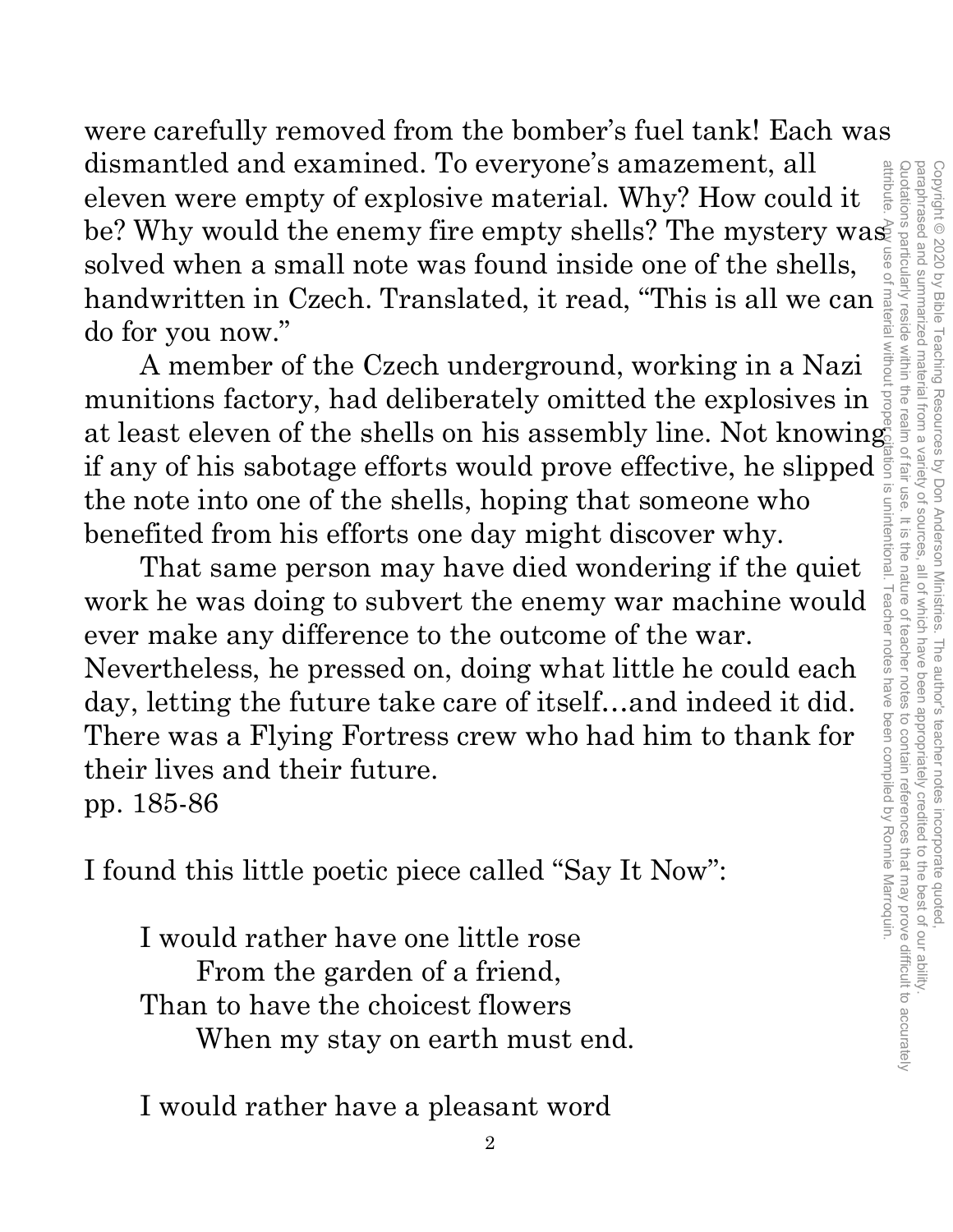were carefully removed from the bomber's fuel tank! Each was dismantled and examined. To everyone's amazement, all attribute attribute. Any use of material without proper citation is unintentional. Teacher notes have been compiled by Ronnie Marroquin.eleven were empty of explosive material. Why? How could it be? Why would the enemy fire empty shells? The mystery was solved when a small note was found inside one of the shells, handwritten in Czech. Translated, it read, "This is all we can do for you now." A member of the Czech underground, working in a Nazi

munitions factory, had deliberately omitted the explosives in at least eleven of the shells on his assembly line. Not knowing the note into one of the shells, hoping that someone who benefited from his efforts one day might discover why.

if any of his sabotage efforts would prove effective, he slipped<br>
the note into one of the shells, hoping that someone who<br>
benefited from his efforts one day might discover why.<br>
That same person may have died wondering That same person may have died wondering if the quiet work he was doing to subvert the enemy war machine would ever make any difference to the outcome of the war. Nevertheless, he pressed on, doing what little he could each day, letting the future take care of itself…and indeed it did. There was a Flying Fortress crew who had him to thank for their lives and their future. pp. 185-86

I found this little poetic piece called "Say It Now":

I would rather have one little rose From the garden of a friend, Than to have the choicest flowers When my stay on earth must end.

I would rather have a pleasant word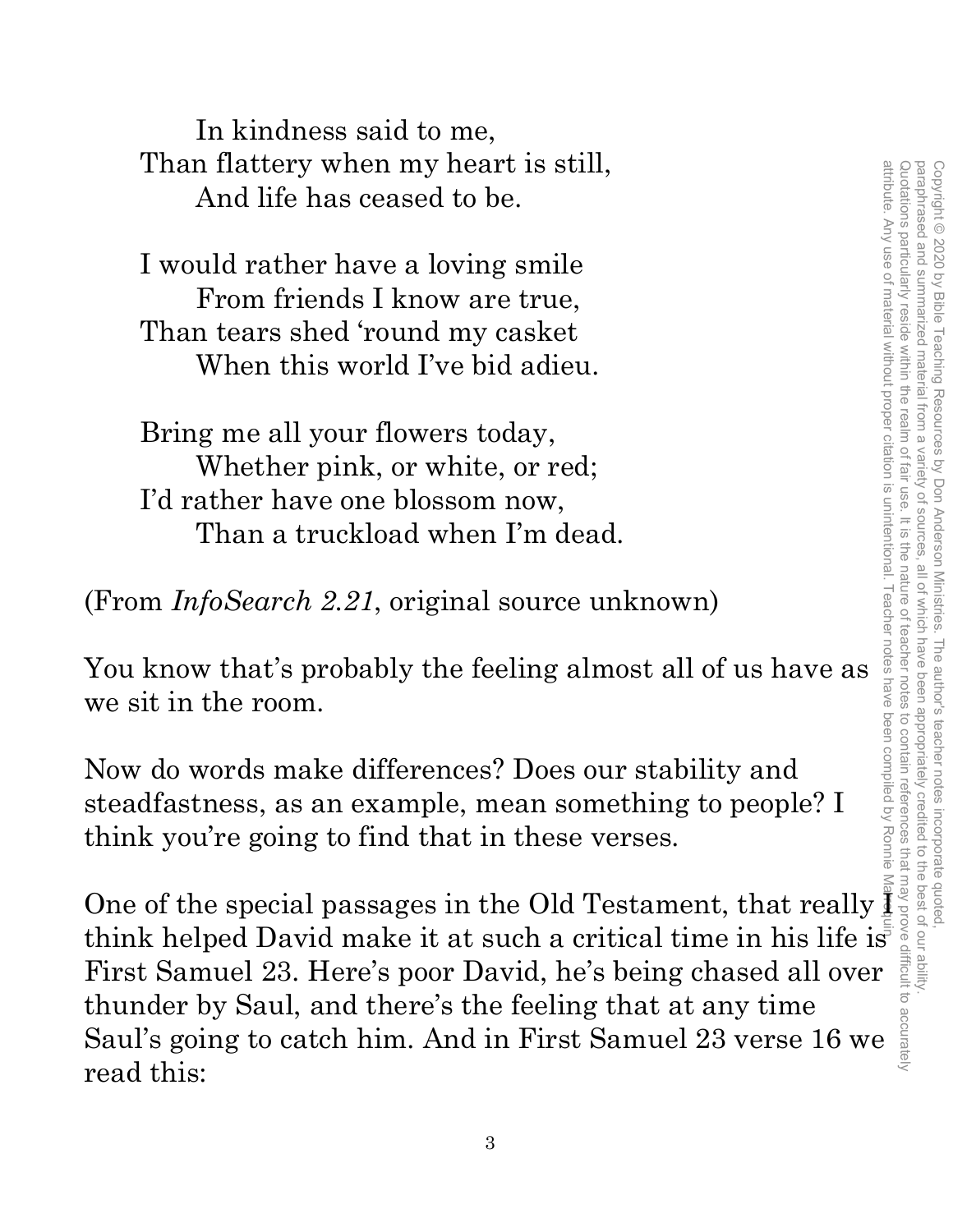In kindness said to me, Than flattery when my heart is still, And life has ceased to be.

I would rather have a loving smile From friends I know are true, Than tears shed 'round my casket When this world I've bid adieu.

Bring me all your flowers today, Whether pink, or white, or red; I'd rather have one blossom now, Than a truckload when I'm dead.

(From *InfoSearch 2.21*, original source unknown)

You know that's probably the feeling almost all of us have as we sit in the room.

Now do words make differences? Does our stability and steadfastness, as an example, mean something to people? I think you're going to find that in these verses.

Than Hattery when my heart is still,<br>
And life has ceased to be.<br>
I would rather have a loving smile<br>
From friends I know are true,<br>
Than tears shed 'round my casket<br>
When this world I've bid adieu.<br>
Bring me all your flo think helped David make it at such a critical time in his life is First Samuel 23. Here's poor David, he's being chased all over thunder by Saul, and there's the feeling that at any time Saul's going to catch him. And in First Samuel 23 verse 16 we read this: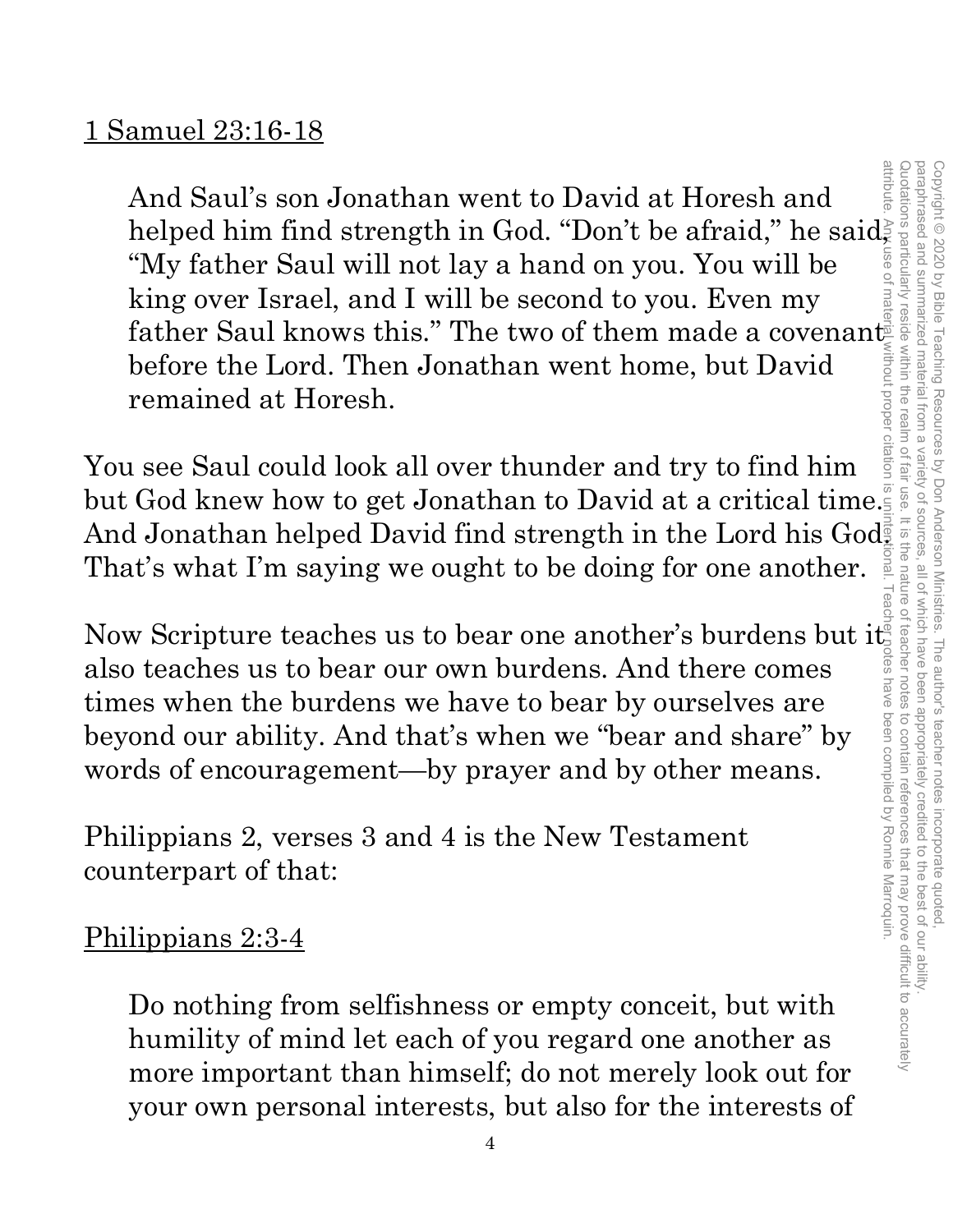# 1 Samuel 23:16-18

And Saul's son Jonathan went to David at Horesh and helped him find strength in God. "Don't be afraid," he said $\tilde{\vec{z}}$ "My father Saul will not lay a hand on you. You will be king over Israel, and I will be second to you. Even my father Saul knows this." The two of them made a covenant before the Lord. Then Jonathan went home, but David remained at Horesh. And Saul's son Jonathan went to David at Horesh and<br>helped him find strength in God. "Don't be afraid," he saids<br>"My father Saul will not lay a hand on you. You will be<br>king over Israel, and I will be second to you. Even attribute. Any use of material without proper citation is unintentional. Teacher notes have been compiled by Ronnie Marroquin.

You see Saul could look all over thunder and try to find him but God knew how to get Jonathan to David at a critical time. $\mathring{\mathring{\mathsf{g}}}$ That's what I'm saying we ought to be doing for one another.

Copyright © 2020 by Bible Teaching Resources by Don Anderson Ministries. The author's teacher notes incorporate quoted,

by Don Anderson Ministries. The author's teacher notes incorporate quoted

, all of which have been appropriately credited to the best of our ability

paraphrased and summarized material from a variety of sources, all of which have been appropriately credited to the best of our ability.

variety of sources,

paraphrased and summarized material from a Copyright © 2020 by Bible Teaching Resources

Quotations particularly reside within the realm of fair use. It is the nature of teacher notes to contain references that may prove difficult to accurately

Now Scripture teaches us to bear one another's burdens but it also teaches us to bear our own burdens. And there comes times when the burdens we have to bear by ourselves are beyond our ability. And that's when we "bear and share" by words of encouragement—by prayer and by other means.

Philippians 2, verses 3 and 4 is the New Testament counterpart of that:

# Philippians 2:3-4

Do nothing from selfishness or empty conceit, but with humility of mind let each of you regard one another as more important than himself; do not merely look out for your own personal interests, but also for the interests of

4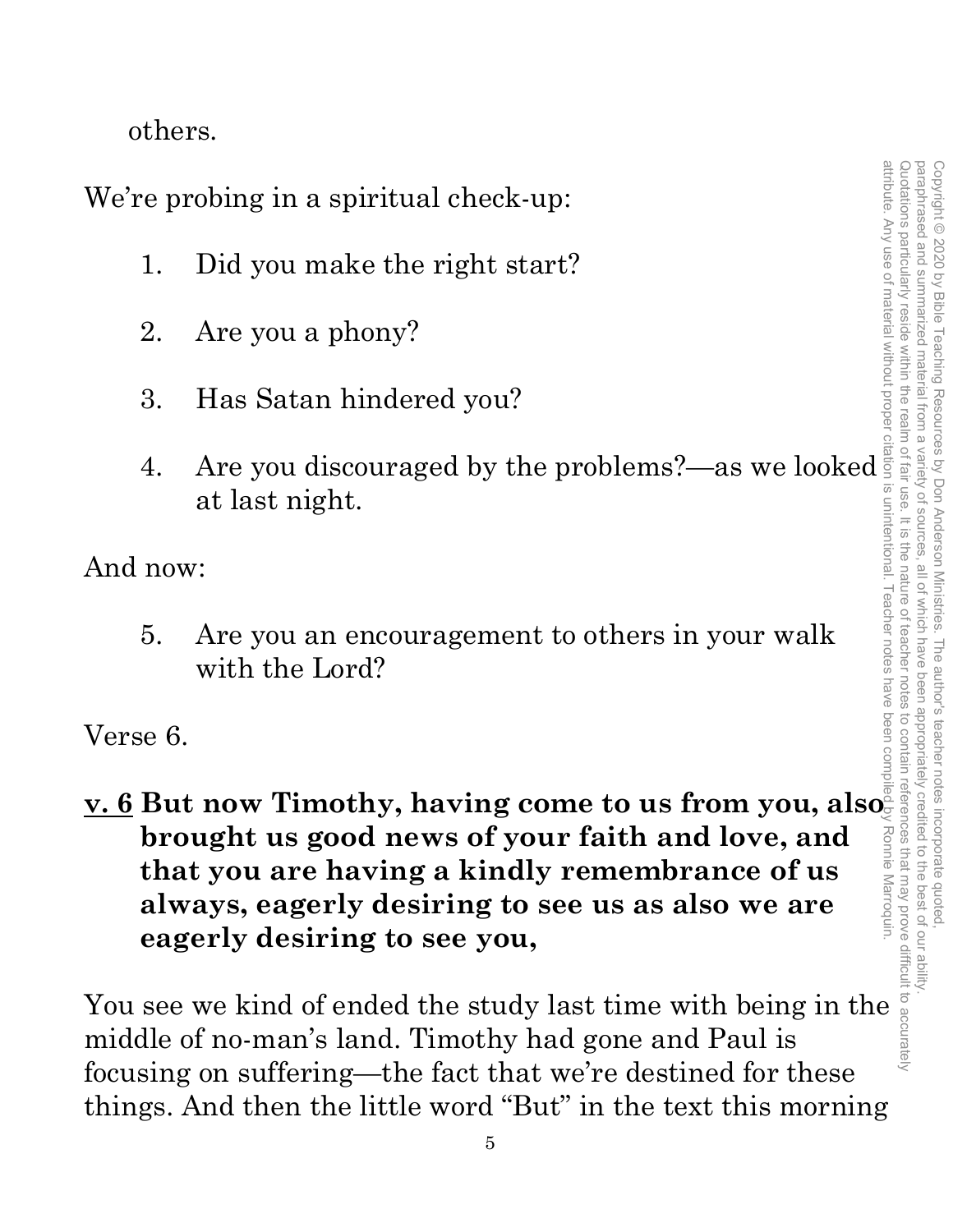paraphrased and summarized material from a attribute. Any use of material without proper citation is unintentional. Teacher notes have been compiled by Ronnie Marroquin.Quotations particularly reside within the realm of fair use. It is the nature of teacher notes to contain references that may prove difficult to accurately paraphrased and summarized material from a variety of sources, all of which have been appropriately credited to the best of our ability. Copyright © 2020 by Bible Teaching Resources by Don Anderson Ministries. The author's teacher notes incorporate quoted Copyright © 2020 by Bible Teaching Resources by Don Anderson Ministries. The author's teacher notes incorporate quoted, variety of sources all of which have been appropriately credited to the best of our ability

others.

We're probing in a spiritual check-up:

- 1. Did you make the right start?
- 2. Are you a phony?
- 3. Has Satan hindered you?
- 4. Are you discouraged by the problems?—as we looked at last night.

And now:

5. Are you an encouragement to others in your walk with the Lord?

Verse 6.

We're probing in a spiritual check-up:<br>
1. Did you make the right start?<br>
2. Are you a phony?<br>
3. Has Satan hindered you?<br>
4. Are you discouraged by the problems?—as we looked at last night.<br>
And now:<br>
5. Are you an encou **v. 6 But now Timothy, having come to us from you, also**  Ronnie Marroquin **brought us good news of your faith and love, and that you are having a kindly remembrance of us always, eagerly desiring to see us as also we are eagerly desiring to see you,**

middle of no-man's land. Timothy had gone and Paul is focusing on suffering—the fact that we're destined for these things. And then the little word "But" in the text this morning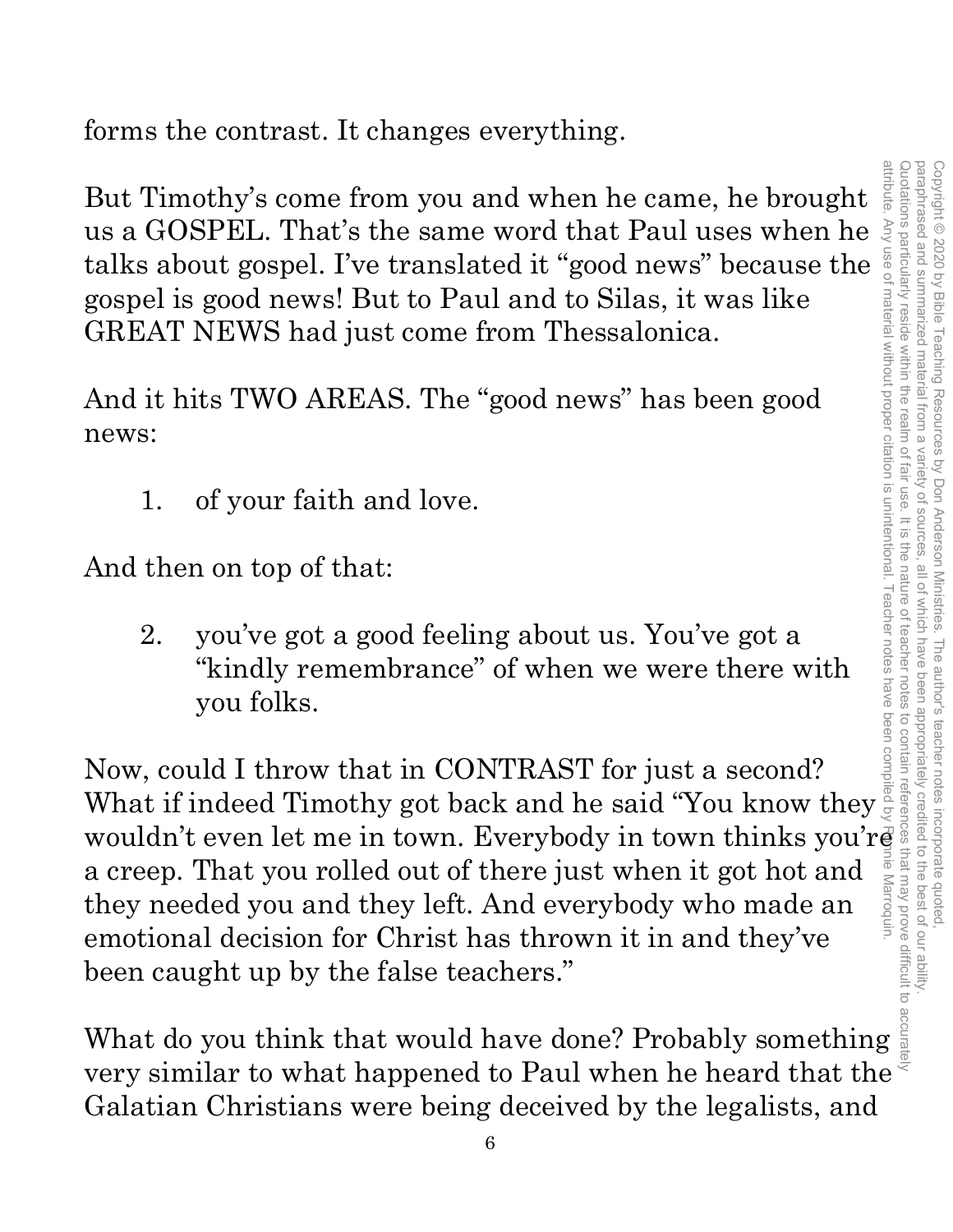forms the contrast. It changes everything.

But Timothy's come from you and when he came, he brought us a GOSPEL. That's the same word that Paul uses when he<br>
talks about gospel. I've translated it "good news" because the<br>
gospel is good news! But to Paul and to Silas, it was like<br>
GREAT NEWS had just come from Thessaloni talks about gospel. I've translated it "good news" because the gospel is good news! But to Paul and to Silas, it was like GREAT NEWS had just come from Thessalonica.

And it hits TWO AREAS. The "good news" has been good news:

1. of your faith and love.

And then on top of that:

2. you've got a good feeling about us. You've got a "kindly remembrance" of when we were there with you folks.

But Timothy's come from you and when he came, he brought<br>us a GOSPEL. That's the same word that Paul uses when he<br>alls about gospel. I've translated it "good news" because the<br>gospel is good news! But to Paul and to Silas attribute. Any use of material without proper citation is unintentional. Teacher notes have been compiled by Ronnie Marroquin.Now, could I throw that in CONTRAST for just a second? What if indeed Timothy got back and he said "You know they a creep. That you rolled out of there just when it got hot and Marroquin they needed you and they left. And everybody who made an emotional decision for Christ has thrown it in and they've been caught up by the false teachers."

What do you think that would have done? Probably something very similar to what happened to Paul when he heard that the Galatian Christians were being deceived by the legalists, and

attribute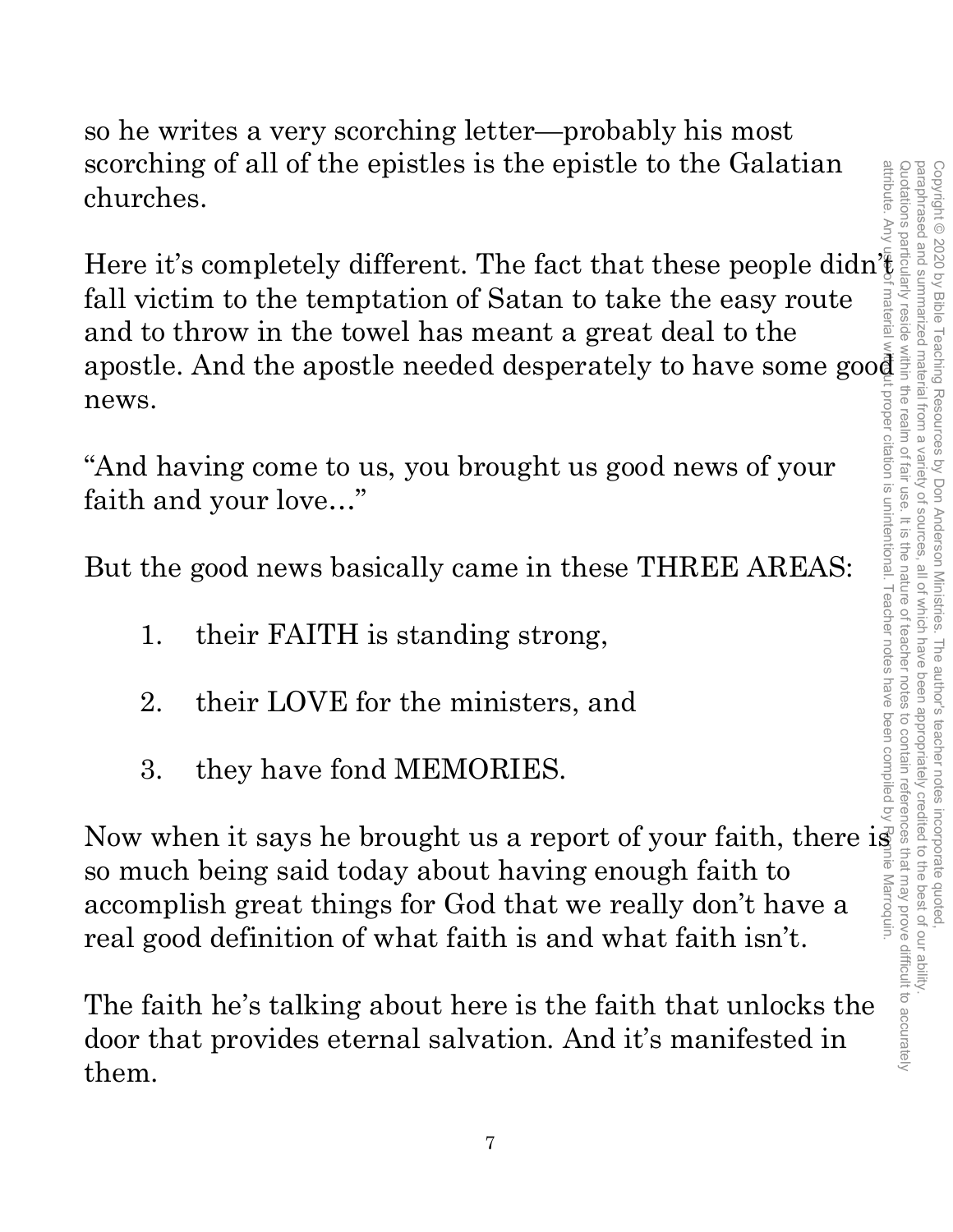paraphrased and summarized material from a attribute. Any us<del>e o</del>f material without proper citation is unintentional. Teacher notes have been compiled by Ronnie Marroquin. Quotations particularly reside within the realm of fair use. It is the nature of teacher notes to contain references that may prove difficult to accurately paraphrased and summarized material from a variety of sources, all of which have been appropriately credited to the best of our ability. Copyright © 2020 by Bible Teaching Resources by Don Anderson Ministries. The author's teacher notes incorporate quoted Copyright © 2020 by Bible Teaching Resources by Don Anderson Ministries. The author's teacher notes incorporate quoted, variety of sources all of which have been appropriately credited to the best of our ability

so he writes a very scorching letter—probably his most scorching of all of the epistles is the epistle to the Galatian churches.

Here it's completely different. The fact that these people didn't fall victim to the temptation of Satan to take the easy route and to throw in the towel has meant a great deal to the apostle. And the apostle needed desperately to have some good news.

"And having come to us, you brought us good news of your faith and your love…"

But the good news basically came in these THREE AREAS:

- 1. their FAITH is standing strong,
- 2. their LOVE for the ministers, and
- 3. they have fond MEMORIES.

Now when it says he brought us a report of your faith, there is so much being said today about having enough faith to accomplish great things for God that we really don't have a real good definition of what faith is and what faith isn't.

The faith he's talking about here is the faith that unlocks the door that provides eternal salvation. And it's manifested in them.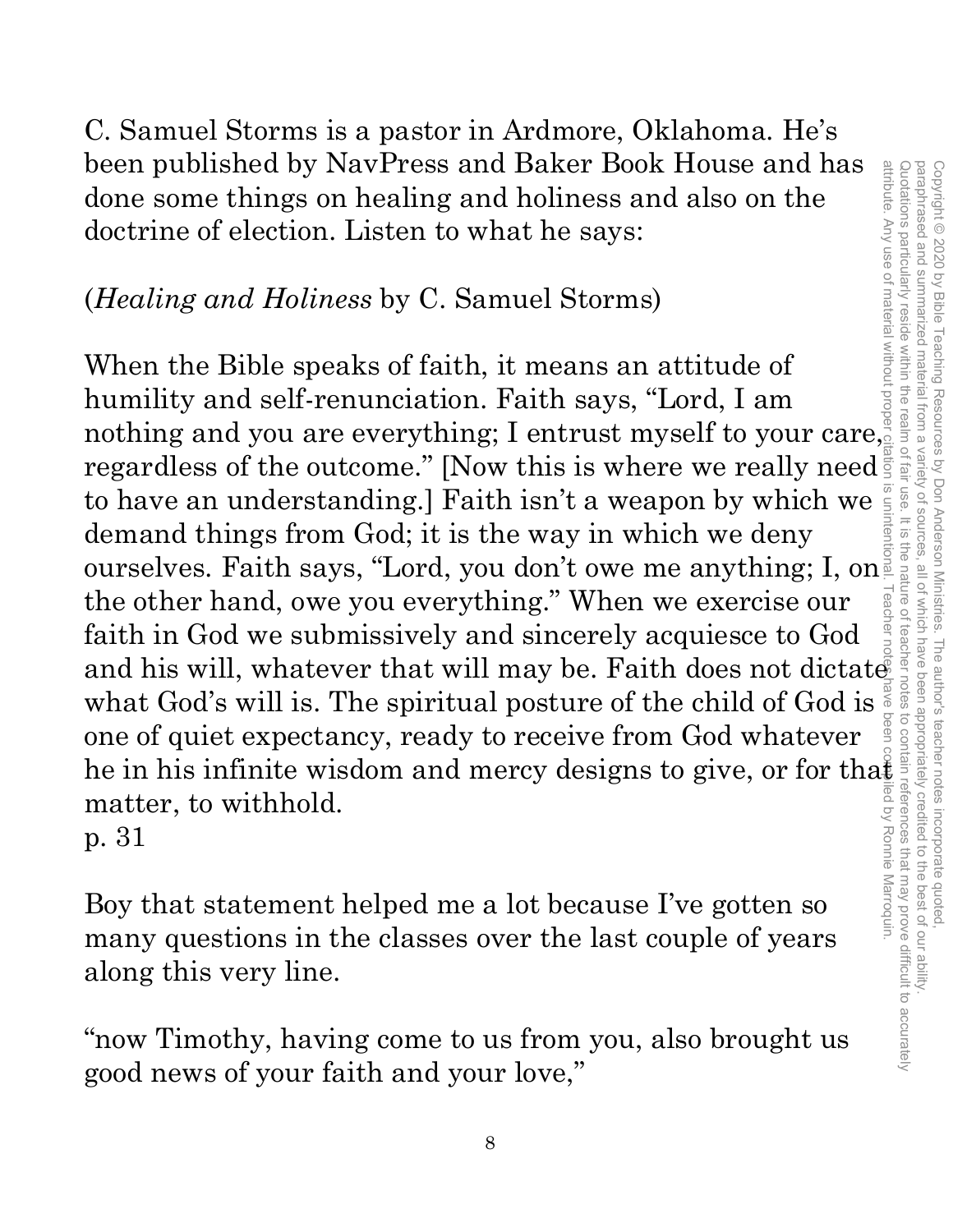C. Samuel Storms is a pastor in Ardmore, Oklahoma. He's been published by NavPress and Baker Book House and has done some things on healing and holiness and also on the doctrine of election. Listen to what he says:

# (*Healing and Holiness* by C. Samuel Storms)

When the Bible speaks of faith, it means an attitude of humility and self-renunciation. Faith says, "Lord, I am nothing and you are everything; I entrust myself to your care,  $\frac{a}{2}$ regardless of the outcome." [Now this is where we really need to have an understanding.] Faith isn't a weapon by which we demand things from God; it is the way in which we deny ourselves. Faith says, "Lord, you don't owe me anything; I, on the other hand, owe you everything." When we exercise our faith in God we submissively and sincerely acquiesce to God been published by Navirress and Baker book House and has seen to the sum of the does not hading and holdness by C. Samuel Storms)<br>doctrine of election. Listen to what he says:<br>(*Healing and Holiness* by C. Samuel Storms)<br> what God's will is. The spiritual posture of the child of God is one of quiet expectancy, ready to receive from God whatever he in his infinite wisdom and mercy designs to give, or for tha $\mathbf{t}$ matter, to withhold. p. 31

Boy that statement helped me a lot because I've gotten so many questions in the classes over the last couple of years along this very line.

"now Timothy, having come to us from you, also brought us good news of your faith and your love,"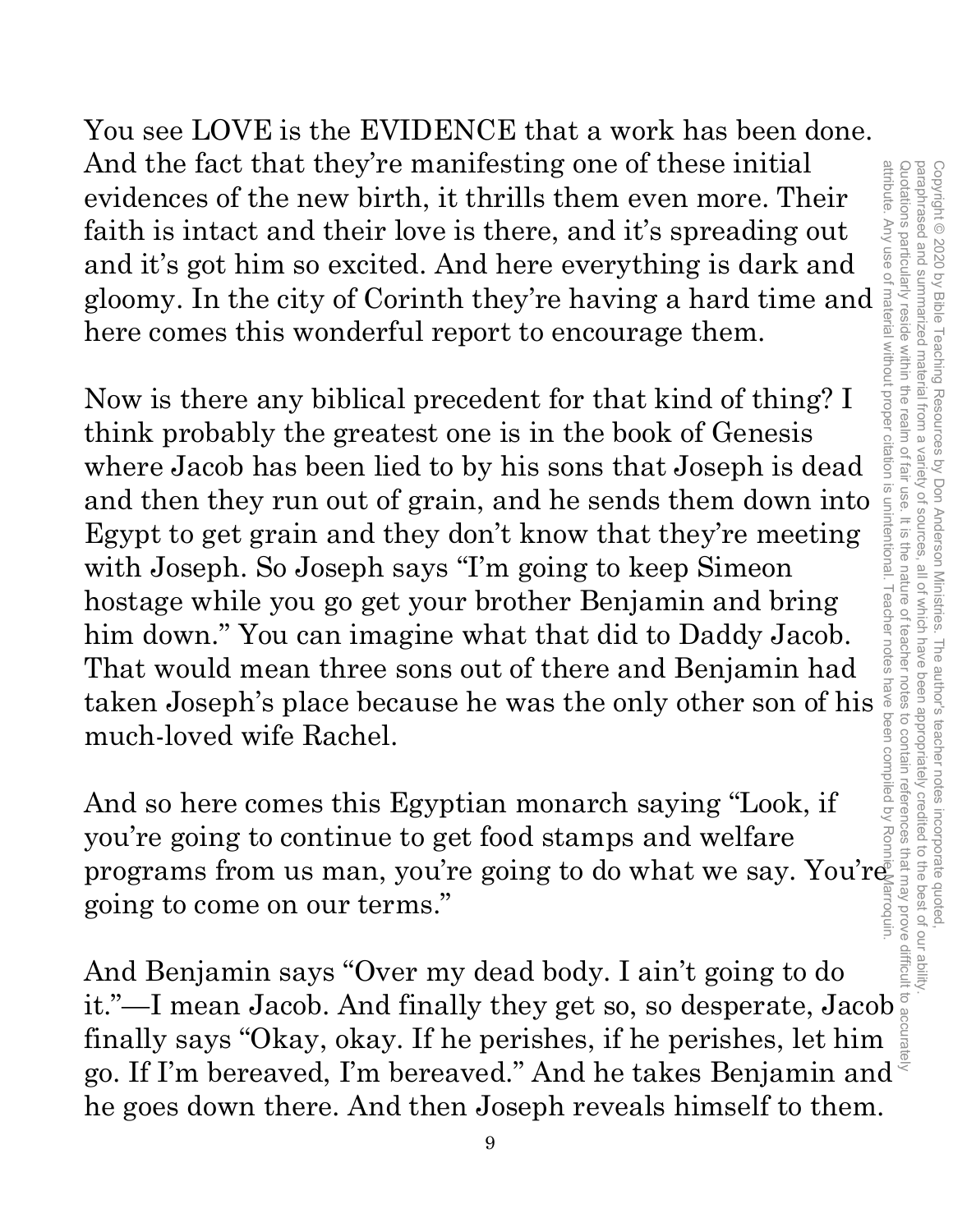You see LOVE is the EVIDENCE that a work has been done. And the fact that they're manifesting one of these initial evidences of the new birth, it thrills them even more. Their faith is intact and their love is there, and it's spreading out and it's got him so excited. And here everything is dark and gloomy. In the city of Corinth they're having a hard time and here comes this wonderful report to encourage them.

Now is there any biblical precedent for that kind of thing? I think probably the greatest one is in the book of Genesis where Jacob has been lied to by his sons that Joseph is dead and then they run out of grain, and he sends them down into Egypt to get grain and they don't know that they're meeting with Joseph. So Joseph says "I'm going to keep Simeon hostage while you go get your brother Benjamin and bring him down." You can imagine what that did to Daddy Jacob. That would mean three sons out of there and Benjamin had taken Joseph's place because he was the only other son of his much-loved wife Rachel. And the tact that they re manutesting one of these initial<br>
evidences of the new birth, it it<br>mills inhere wen more. Their<br>
faith is intact and their love is there, and it's spreading out<br>
and it's got him so excited. And

And so here comes this Egyptian monarch saying "Look, if you're going to continue to get food stamps and welfare programs from us man, you're going to do what we say. You'r $\bar{\mathbb{e}}$ going to come on our terms." attribute. Any use of material without proper citation is unintentional. Teacher notes have been compiled by Ronnie Marroquin.

And Benjamin says "Over my dead body. I ain't going to do finally says "Okay, okay. If he perishes, if he perishes, let him go. If I'm bereaved, I'm bereaved." And he takes Benjamin and he goes down there. And then Joseph reveals himself to them.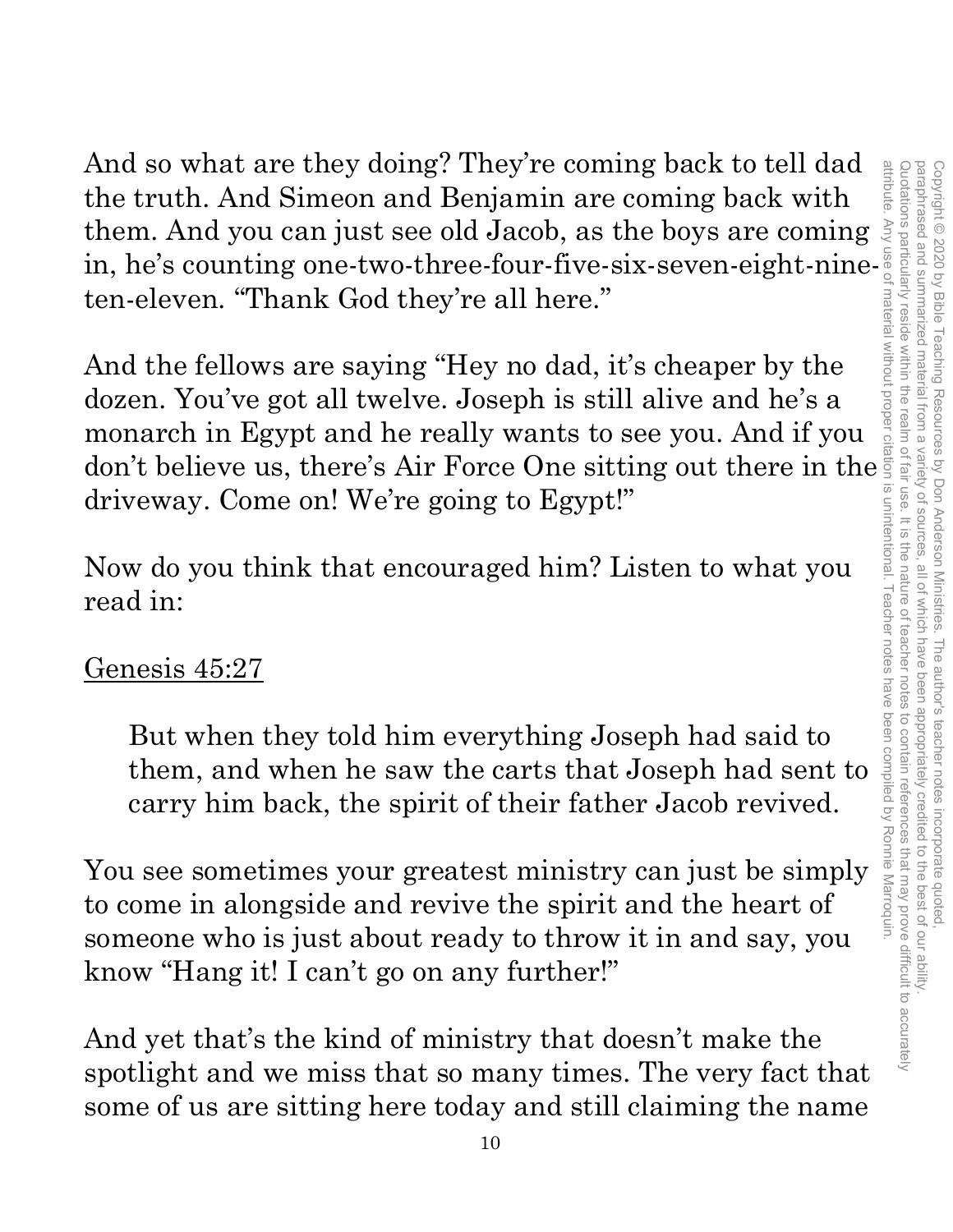the truth. And Simeon and Benjamin are coming back with them. And you can just see old Jacob, as the boys are coming And so what are they dong? They re coming back to tell dad<br>then. And Simcon and Benjamin are coming back with<br>the truth. And Simcon and Benjamin are coming six-seven-eight-nine-<br>in, he's counting one-two-three-four-five-s ten-eleven. "Thank God they're all here." And the fellows are saying "Hey no dad, it's cheaper by the dozen. You've got all twelve. Joseph is still alive and he's a monarch in Egypt and he really wants to see you. And if you don't believe us, there's Air Force One sitting out there in the driveway. Come on! We're going to Egypt!" attribute. Any use of material without proper citation is unintentional. Teacher notes have been compiled by Ronnie Marroquin.

Now do you think that encouraged him? Listen to what you read in:

And so what are they doing? They're coming back to tell dad

# Genesis 45:27

But when they told him everything Joseph had said to them, and when he saw the carts that Joseph had sent to carry him back, the spirit of their father Jacob revived.

You see sometimes your greatest ministry can just be simply to come in alongside and revive the spirit and the heart of someone who is just about ready to throw it in and say, you know "Hang it! I can't go on any further!"

And yet that's the kind of ministry that doesn't make the spotlight and we miss that so many times. The very fact that some of us are sitting here today and still claiming the name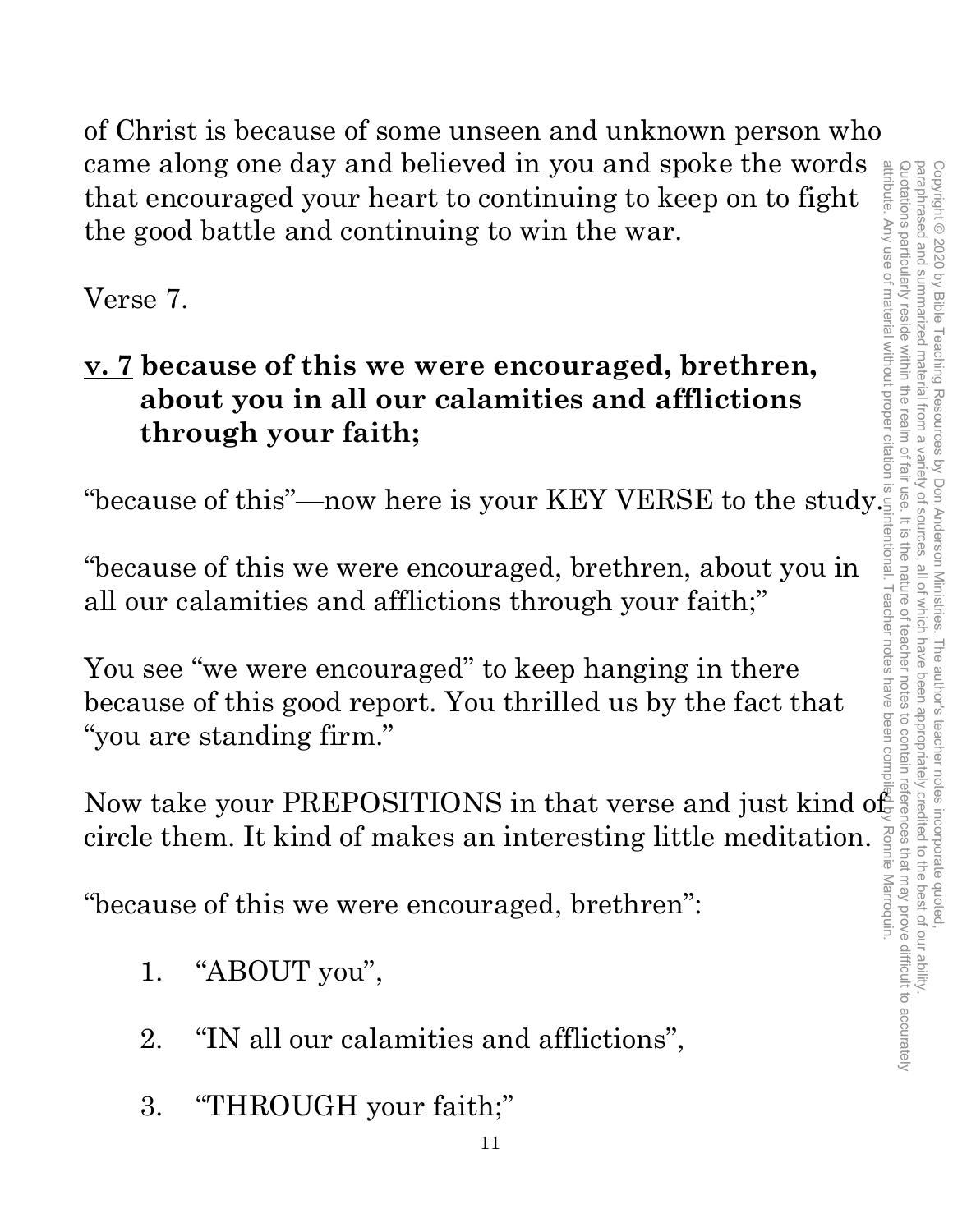Quotations particularly reside within the realm of fair use. It is the nature of teacher notes to contain references that may prove difficult to accurately attribute. Any use of material without proper citation is unintentional. Teacher notes have been compiled by Ronnie Marroquin.Quotations particularly reside within the realm of fair use. It is the nature of teacher notes to contain references that may prove difficult to accurately paraphrased and summarized paraphrased and summarized material from a variety of sources, all of which have been appropriately credited to the best of our ability. Copyright © 2020 by Bible Copyright © 2020 by Bible Teaching Resources by Don Anderson Ministries. The author's teacher notes incorporate quoted, Teaching Resources material from a by Don Anderson Ministries. all of Which have been The author's teacher notes incorporate quoted appropriately credited to the best of our ability Ronnie Marroquin

of Christ is because of some unseen and unknown person who came along one day and believed in you and spoke the words that encouraged your heart to continuing to keep on to fight the good battle and continuing to win the war.

Verse 7.

# **v. 7 because of this we were encouraged, brethren, about you in all our calamities and afflictions through your faith;**

"because of this"—now here is your KEY VERSE to the study.

"because of this we were encouraged, brethren, about you in all our calamities and afflictions through your faith;"

You see "we were encouraged" to keep hanging in there because of this good report. You thrilled us by the fact that "you are standing firm."

Now take your PREPOSITIONS in that verse and just kind of circle them. It kind of makes an interesting little meditation.

"because of this we were encouraged, brethren":

- 1. "ABOUT you",
- 2. "IN all our calamities and afflictions",
- 3. "THROUGH your faith;"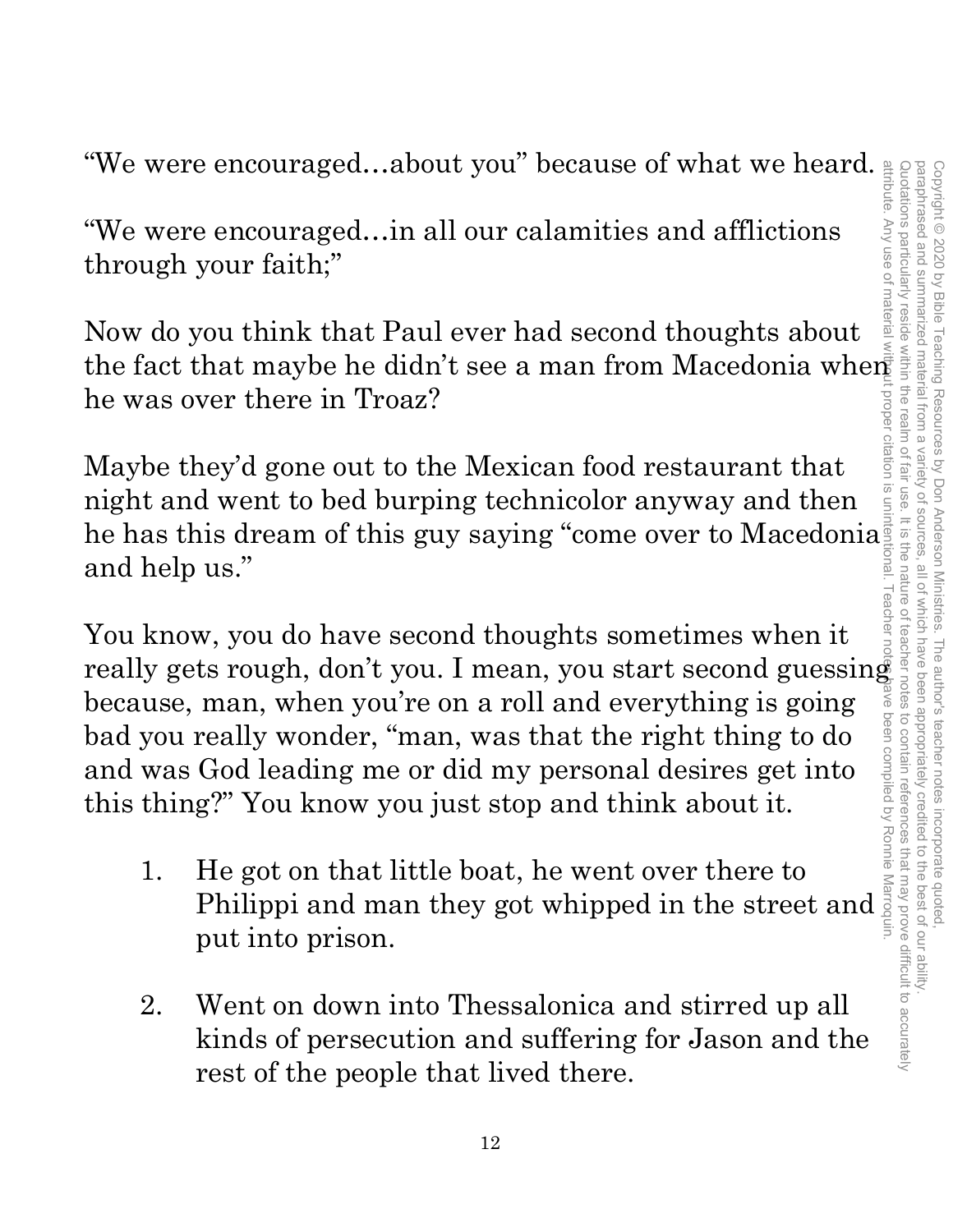"We were encouraged…about you" because of what we heard.

"We were encouraged…in all our calamities and afflictions through your faith;"

Now do you think that Paul ever had second thoughts about the fact that maybe he didn't see a man from Macedonia when he was over there in Troaz?

Maybe they'd gone out to the Mexican food restaurant that night and went to bed burping technicolor anyway and then he has this dream of this guy saying "come over to Macedonia and help us."

You know, you do have second thoughts sometimes when it really gets rough, don't you. I mean, you start second guessing because, man, when you're on a roll and everything is going bad you really wonder, "man, was that the right thing to do and was God leading me or did my personal desires get into this thing?" You know you just stop and think about it.

- 1. He got on that little boat, he went over there to Philippi and man they got whipped in the street and put into prison.
- 2. Went on down into Thessalonica and stirred up all kinds of persecution and suffering for Jason and the rest of the people that lived there.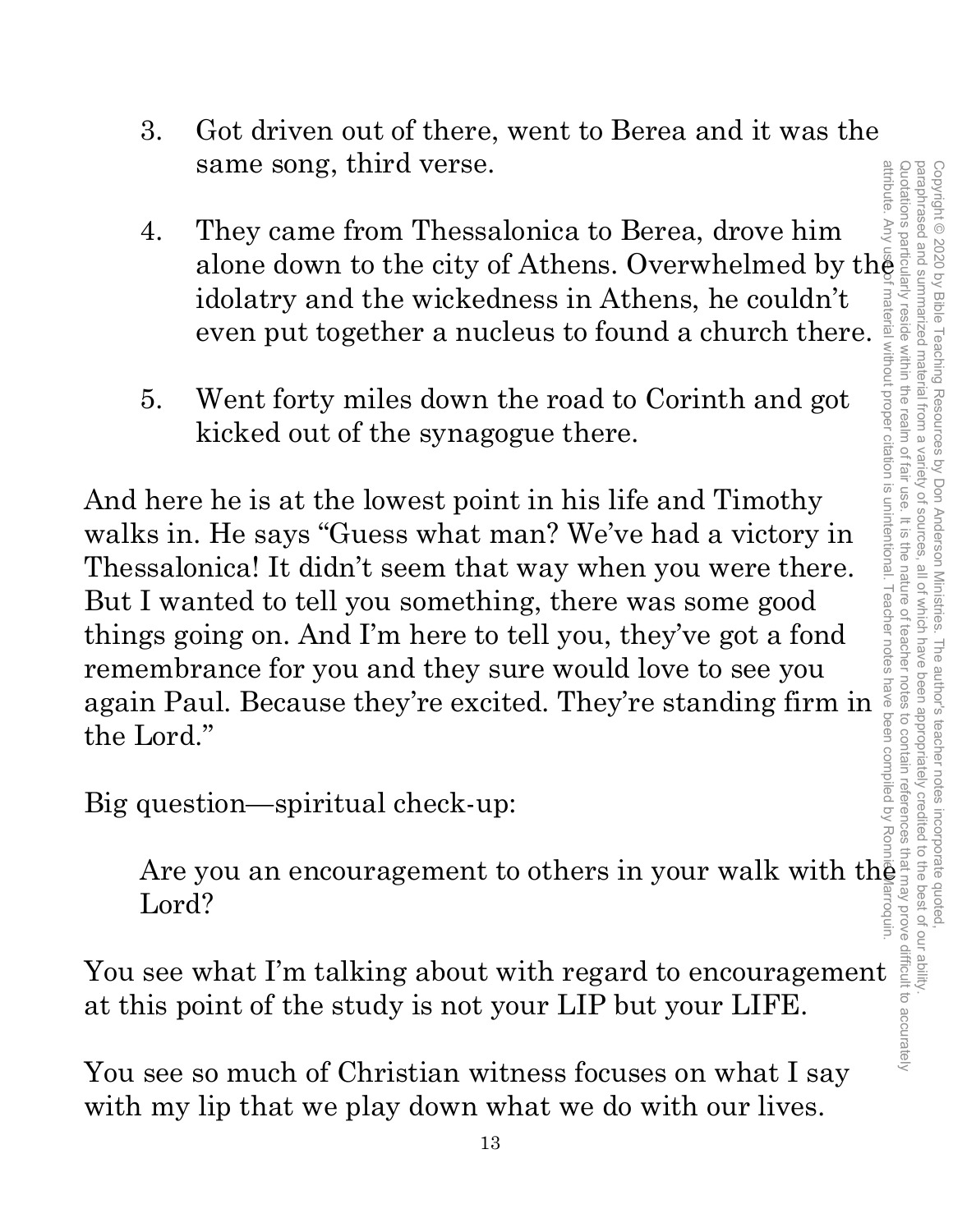- 3. Got driven out of there, went to Berea and it was the same song, third verse.
- 4. They came from Thessalonica to Berea, drove him alone down to the city of Athens. Overwhelmed by the idolatry and the wickedness in Athens, he couldn't even put together a nucleus to found a church there.
- 5. Went forty miles down the road to Corinth and got kicked out of the synagogue there.

And here he is at the lowest point in his life and Timothy walks in. He says "Guess what man? We've had a victory in Thessalonica! It didn't seem that way when you were there. But I wanted to tell you something, there was some good things going on. And I'm here to tell you, they've got a fond remembrance for you and they sure would love to see you again Paul. Because they're excited. They're standing firm in the Lord."

Big question—spiritual check-up:

Are you an encouragement to others in your walk with the  $\frac{1}{2}$ Lord?

You see what I'm talking about with regard to encouragement at this point of the study is not your LIP but your LIFE.

You see so much of Christian witness focuses on what I say with my lip that we play down what we do with our lives.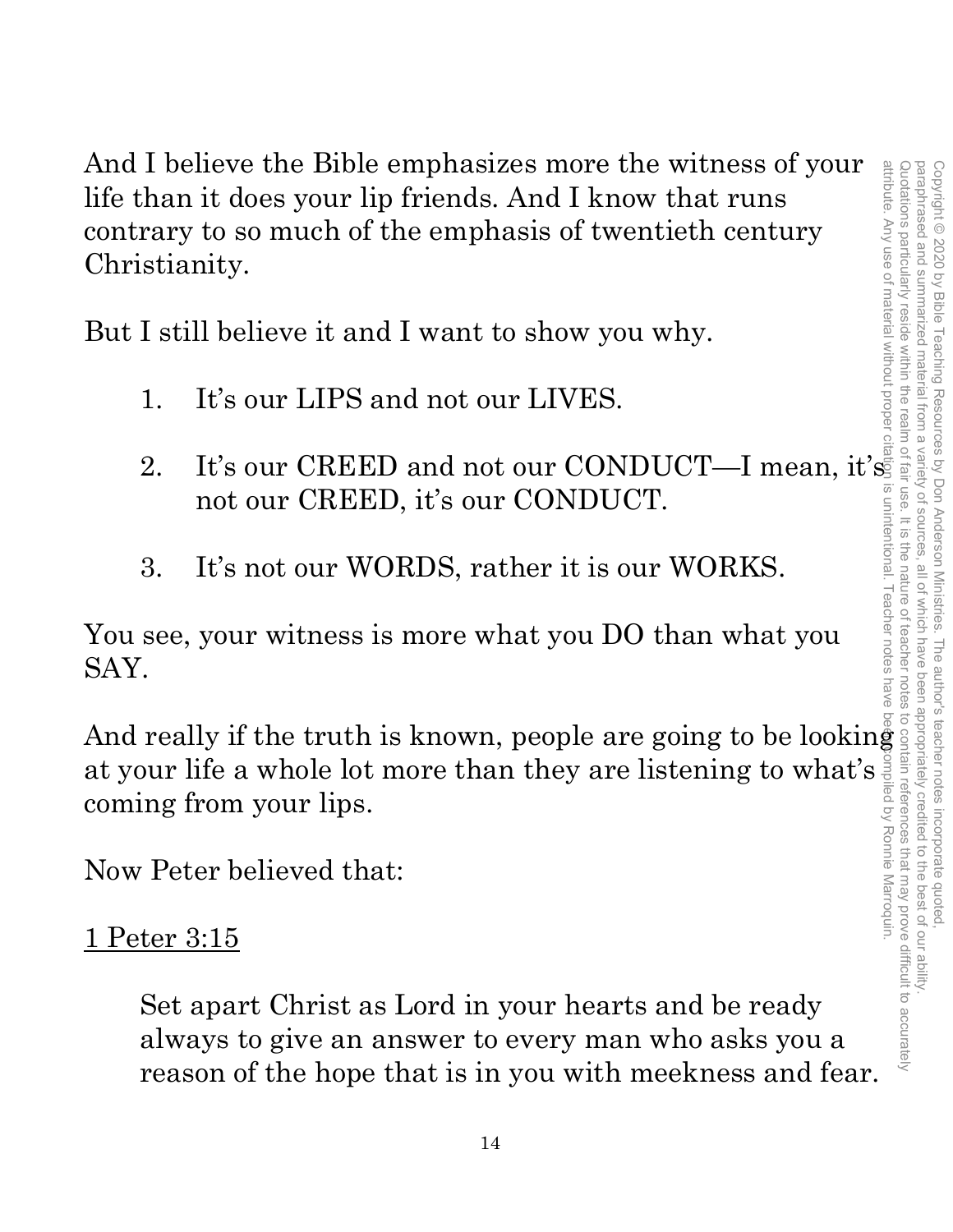Quotations particularly reside within the realm of fair use. It is the nature of teacher notes paraphrased and summarized material from a attribute. Any use of material without proper citation is unintentional. Teacher notes have been compiled by Ronnie Marroquin.Quotations particularly reside within the realm of fair use. It is the nature of teacher notes to contain references that may prove difficult to accurately paraphrased and summarized material from a variety of sources, all of which have been appropriately credited to the best of our ability. Copyright © 2020 by Bible Teaching Resources by Don Anderson Ministries. The author's teacher notes incorporate quoted Copyright © 2020 by Bible Teaching Resources by Don Anderson Ministries. The author's teacher notes incorporate quoted, variety of sources all of which have been appropriately credited to the best of our ability

And I believe the Bible emphasizes more the witness of your life than it does your lip friends. And I know that runs contrary to so much of the emphasis of twentieth century Christianity.

But I still believe it and I want to show you why.

- 1. It's our LIPS and not our LIVES.
- 2. It's our CREED and not our CONDUCT—I mean, it's not our CREED, it's our CONDUCT.
- 3. It's not our WORDS, rather it is our WORKS.

You see, your witness is more what you DO than what you SAY.

And really if the truth is known, people are going to be looking at your life a whole lot more than they are listening to what's coming from your lips.

Now Peter believed that:

#### 1 Peter 3:15

Set apart Christ as Lord in your hearts and be ready always to give an answer to every man who asks you a reason of the hope that is in you with meekness and fear.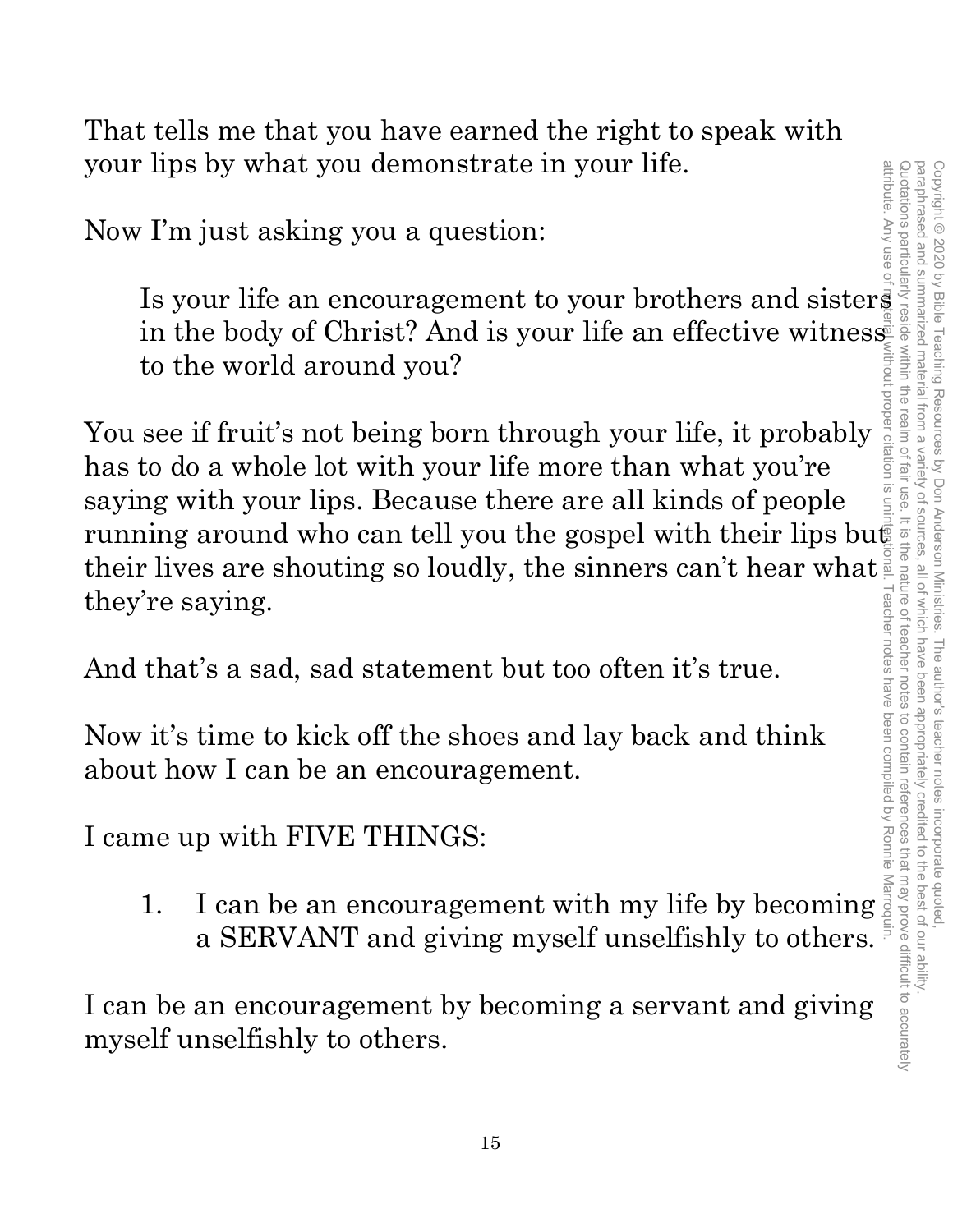That tells me that you have earned the right to speak with your lips by what you demonstrate in your life.

Now I'm just asking you a question:

Is your life an encouragement to your brothers and sisters in the body of Christ? And is your life an effective witness. to the world around you?

You see if fruit's not being born through your life, it probably has to do a whole lot with your life more than what you're saying with your lips. Because there are all kinds of people saying with your lips. Because there are all kinds of people running around who can tell you the gospel with their lips but their lives are shouting so loudly, the sinners can't hear what their lives are shouting so loudly, the sinners can't hear what<br>they're saying.<br>And that's a sad, sad statement but too often it's true.<br>Now it's time to kick off the shoes and lay back and think<br>about how I can be an enc they're saying.

And that's a sad, sad statement but too often it's true.

Now it's time to kick off the shoes and lay back and think about how I can be an encouragement.

I came up with FIVE THINGS:

1. I can be an encouragement with my life by becoming a SERVANT and giving myself unselfishly to others.

I can be an encouragement by becoming a servant and giving myself unselfishly to others.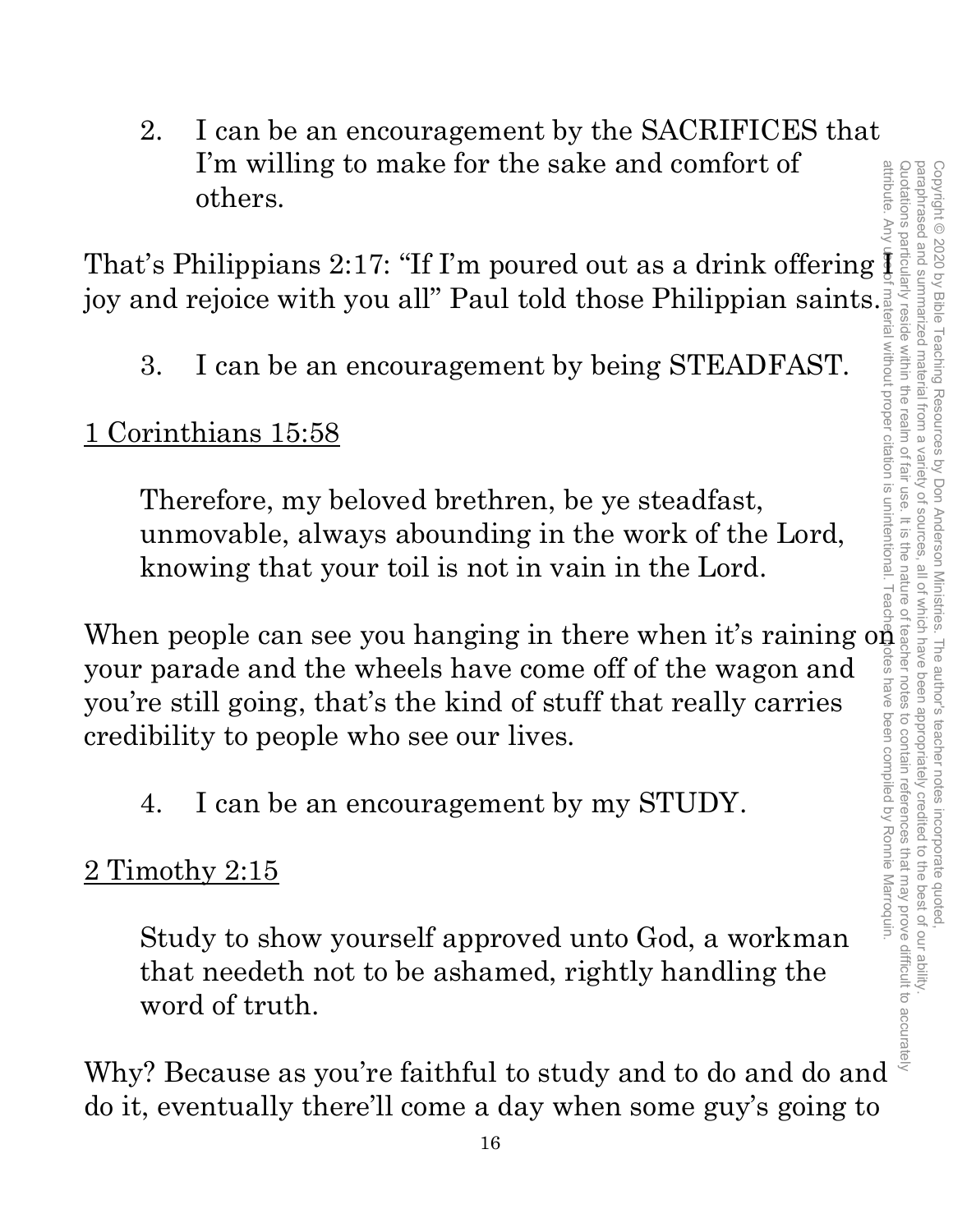2. I can be an encouragement by the SACRIFICES that I'm willing to make for the sake and comfort of others.

joy and rejoice with you all" Paul told those Philippian saints.

3. I can be an encouragement by being STEADFAST.

1 Corinthians 15:58

Therefore, my beloved brethren, be ye steadfast, unmovable, always abounding in the work of the Lord, knowing that your toil is not in vain in the Lord.

That's Philippians 2:17: "If I'm poured out as a drink offering I<br>
flow shows 2:17: "If I'm poured out as a drink offering I<br>
joy and rejoice with you all" Paul told those Philippian saints.<br>
3. I can be an encouragement When people can see you hanging in there when it's raining  $o\frac{a}{2}$ your parade and the wheels have come off of the wagon and you're still going, that's the kind of stuff that really carries credibility to people who see our lives.

4. I can be an encouragement by my STUDY.

2 Timothy 2:15

Study to show yourself approved unto God, a workman that needeth not to be ashamed, rightly handling the word of truth.

Why? Because as you're faithful to study and to do and do and do it, eventually there'll come a day when some guy's going to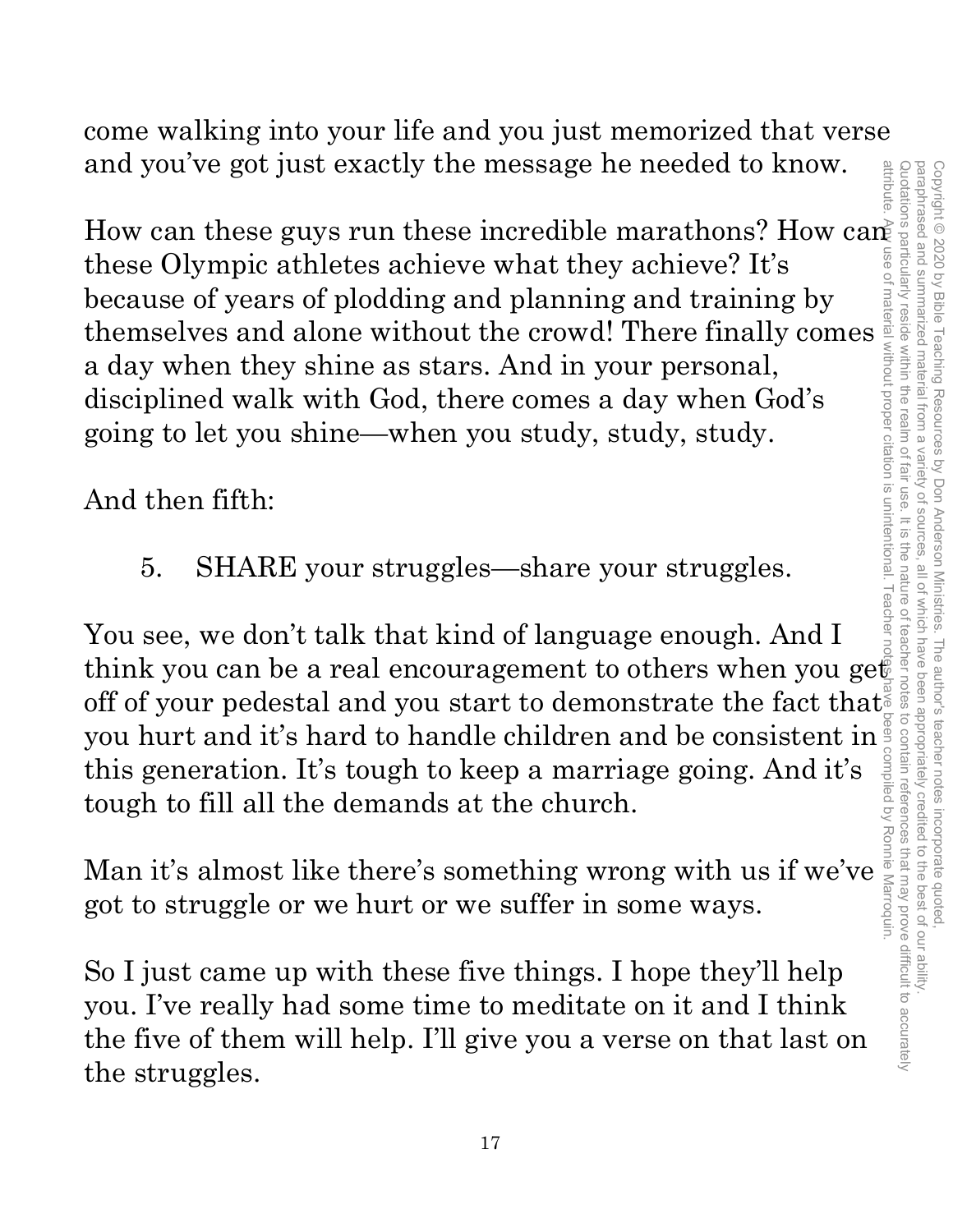paraphrased and summarized material from a attribute. Any use of material without proper citation is unintentional. Teacher notes have been compiled by Ronnie Marroquin.Quotations particularly reside within the realm of fair use. It is the nature of teacher notes to contain references that may prove difficult to accurately paraphrased and summarized material from a variety of sources, all of which have been appropriately credited to the best of our ability. Copyright © 2020 by Bible Teaching Resources Copyright © 2020 by Bible Teaching Resources by Don Anderson Ministries. The author's teacher notes incorporate quoted, variety of by Don Anderson Ministries. The author's teacher notes incorporate quoted all of which have been appropriately credited to the best of our ability

come walking into your life and you just memorized that verse

and you've got just exactly the message he needed to know.<br>How can these guys run these incredible marathons? How can How can these guys run these incredible marathons? How can  $\epsilon$ these Olympic athletes achieve what they achieve? It's because of years of plodding and planning and training by themselves and alone without the crowd! There finally comes a day when they shine as stars. And in your personal, disciplined walk with God, there comes a day when God's going to let you shine—when you study, study, study.

And then fifth:

5. SHARE your struggles—share your struggles.

You see, we don't talk that kind of language enough. And I think you can be a real encouragement to others when you ge $\bar{\mathbb{g}}$ off of your pedestal and you start to demonstrate the fact that. you hurt and it's hard to handle children and be consistent in this generation. It's tough to keep a marriage going. And it's tough to fill all the demands at the church.

Man it's almost like there's something wrong with us if we've got to struggle or we hurt or we suffer in some ways.

So I just came up with these five things. I hope they'll help you. I've really had some time to meditate on it and I think the five of them will help. I'll give you a verse on that last on the struggles.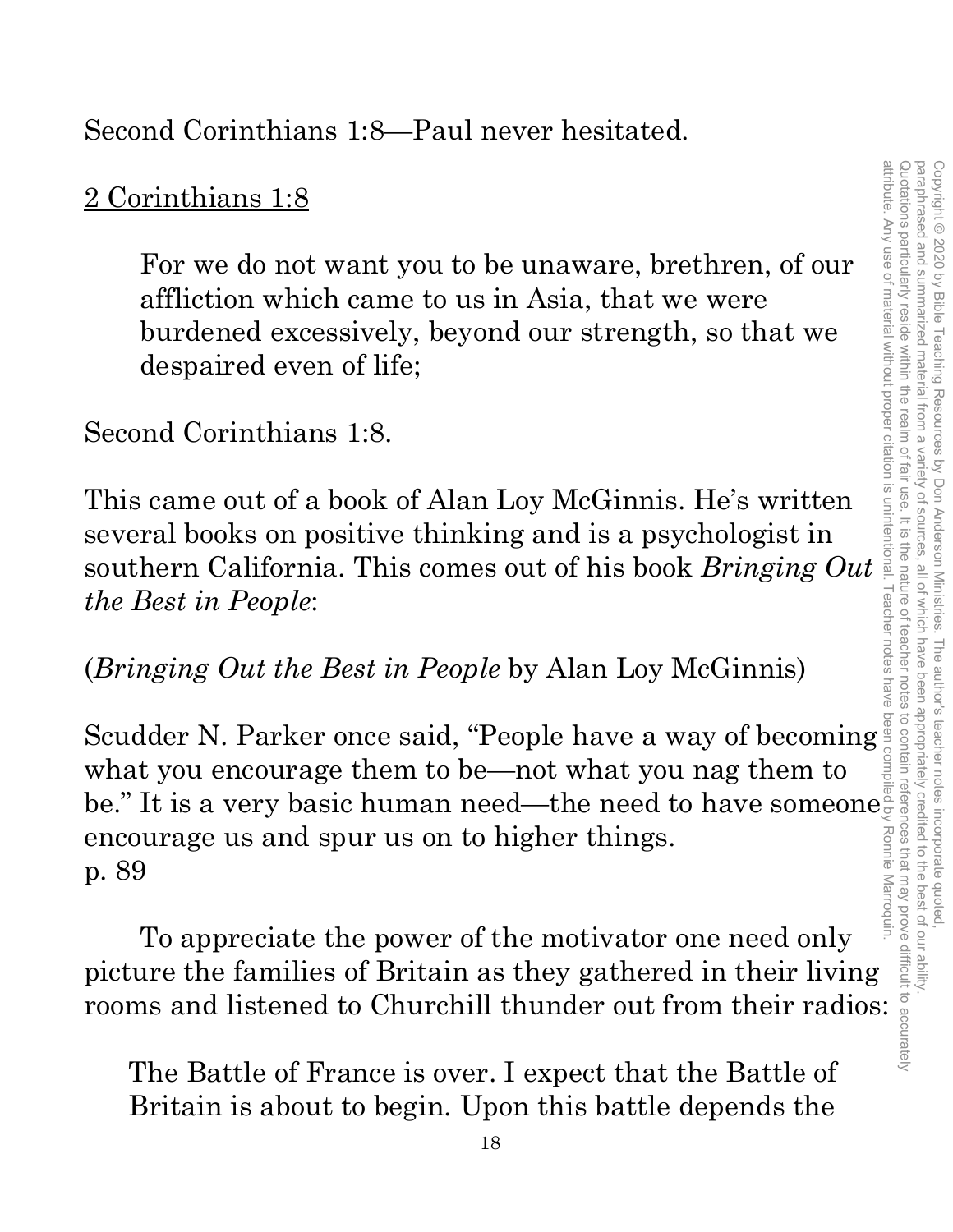Second Corinthians 1:8—Paul never hesitated.

#### 2 Corinthians 1:8

For we do not want you to be unaware, brethren, of our affliction which came to us in Asia, that we were burdened excessively, beyond our strength, so that we despaired even of life;

Second Corinthians 1:8.

This came out of a book of Alan Loy McGinnis. He's written several books on positive thinking and is a psychologist in southern California. This comes out of his book *Bringing Out the Best in People*:

(*Bringing Out the Best in People* by Alan Loy McGinnis)

Scudder N. Parker once said, "People have a way of becoming what you encourage them to be—not what you nag them to be." It is a very basic human need—the need to have someone encourage us and spur us on to higher things. p. 89 Scudder N. Parker once said, "People have a way of becoming what you encourage them to be—not what you nag them to be." It is a very basic human need—the need to have someone encourage us and spur us on to higher things.<br>

To appreciate the power of the motivator one need only picture the families of Britain as they gathered in their living

The Battle of France is over. I expect that the Battle of Britain is about to begin. Upon this battle depends the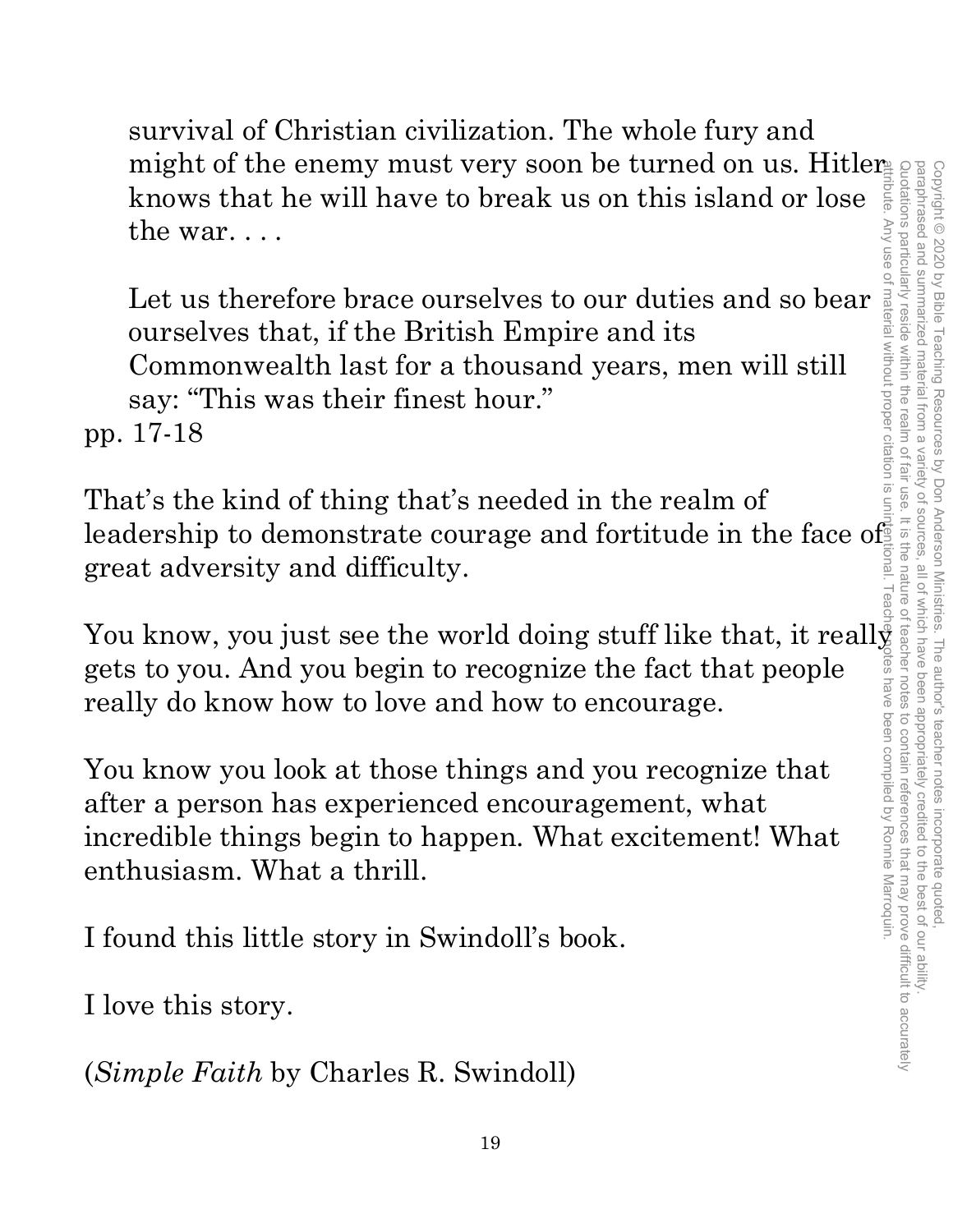survival of Christian civilization. The whole fury and might of the enemy must very soon be turned on us. Hitler knows that he will have to break us on this island or lose the war.  $\dots$ 

Let us therefore brace ourselves to our duties and so bear ourselves that, if the British Empire and its Commonwealth last for a thousand years, men will still say: "This was their finest hour." pp. 17-18

That's the kind of thing that's needed in the realm of leadership to demonstrate courage and fortitude in the face of great adversity and difficulty.

You know, you just see the world doing stuff like that, it really gets to you. And you begin to recognize the fact that people really do know how to love and how to encourage.

You know you look at those things and you recognize that after a person has experienced encouragement, what incredible things begin to happen. What excitement! What enthusiasm. What a thrill.

I found this little story in Swindoll's book.

I love this story.

(*Simple Faith* by Charles R. Swindoll)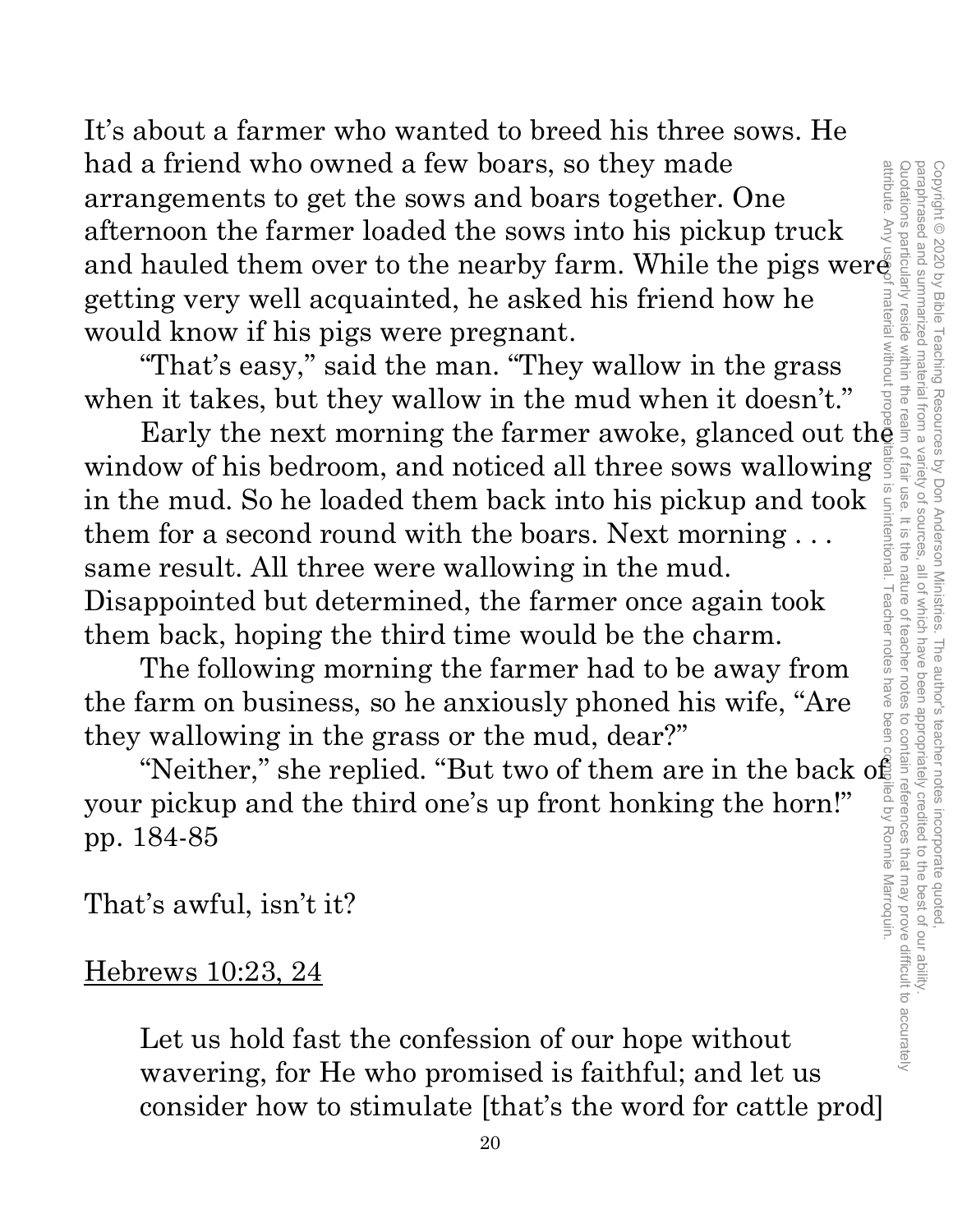It's about a farmer who wanted to breed his three sows. He had a friend who owned a few boars, so they made arrangements to get the sows and boars together. One afternoon the farmer loaded the sows into his pickup truck and hauled them over to the nearby farm. While the pigs were getting very well acquainted, he asked his friend how he would know if his pigs were pregnant.

 "That's easy," said the man. "They wallow in the grass when it takes, but they wallow in the mud when it doesn't."

Early the next morning the farmer awoke, glanced out the window of his bedroom, and noticed all three sows wallowing in the mud. So he loaded them back into his pickup and took them for a second round with the boars. Next morning . . . same result. All three were wallowing in the mud. Disappointed but determined, the farmer once again took them back, hoping the third time would be the charm.

The following morning the farmer had to be away from the farm on business, so he anxiously phoned his wife, "Are they wallowing in the grass or the mud, dear?"

"Neither," she replied. "But two of them are in the back of your pickup and the third one's up front honking the horn!" pp. 184-85

That's awful, isn't it?

Hebrews 10:23, 24

Let us hold fast the confession of our hope without wavering, for He who promised is faithful; and let us consider how to stimulate [that's the word for cattle prod] Copyright © 2020 by Bible Teaching Resources by Don Anderson Ministries. The author's teacher notes incorporate quoted,

Copyright © 2020 by Bible Teaching Resources by Don Anderson Ministries. The author's teacher notes incorporate quoted

paraphrased and summarized material from a variety of sources.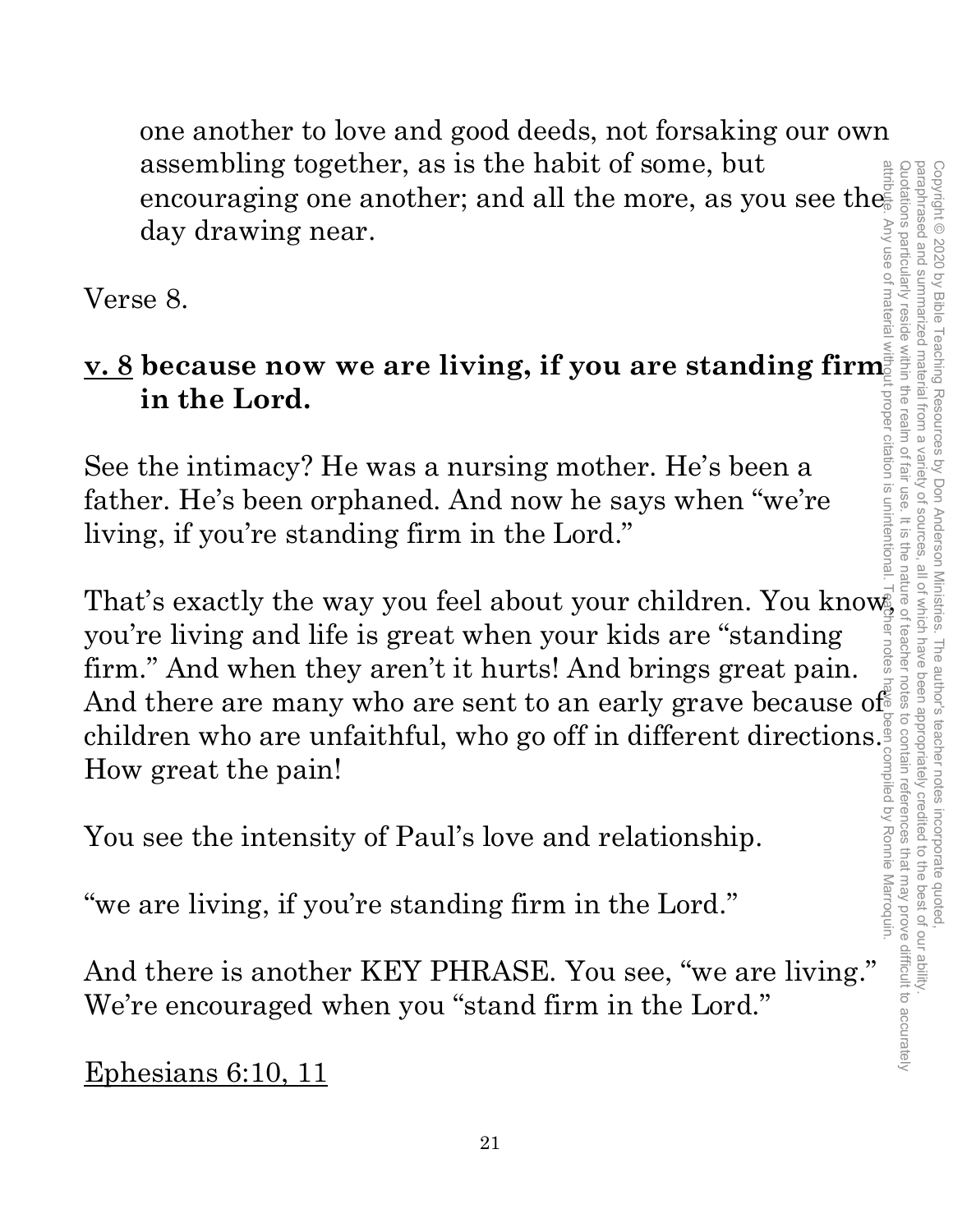one another to love and good deeds, not forsaking our own assembling together, as is the habit of some, but assembling together, as is the habit of some, but<br>encouraging one another; and all the more, as you see the day drawing near.

Verse 8.

# **v. 8 because now we are living, if you are standing firm in the Lord.**

See the intimacy? He was a nursing mother. He's been a father. He's been orphaned. And now he says when "we're living, if you're standing firm in the Lord."

That's exactly the way you feel about your children. You know, you're living and life is great when your kids are "standing firm." And when they aren't it hurts! And brings great pain. And there are many who are sent to an early grave because of children who are unfaithful, who go off in different directions. How great the pain!

You see the intensity of Paul's love and relationship.

"we are living, if you're standing firm in the Lord."

And there is another KEY PHRASE. You see, "we are living." We're encouraged when you "stand firm in the Lord."

Ephesians 6:10, 11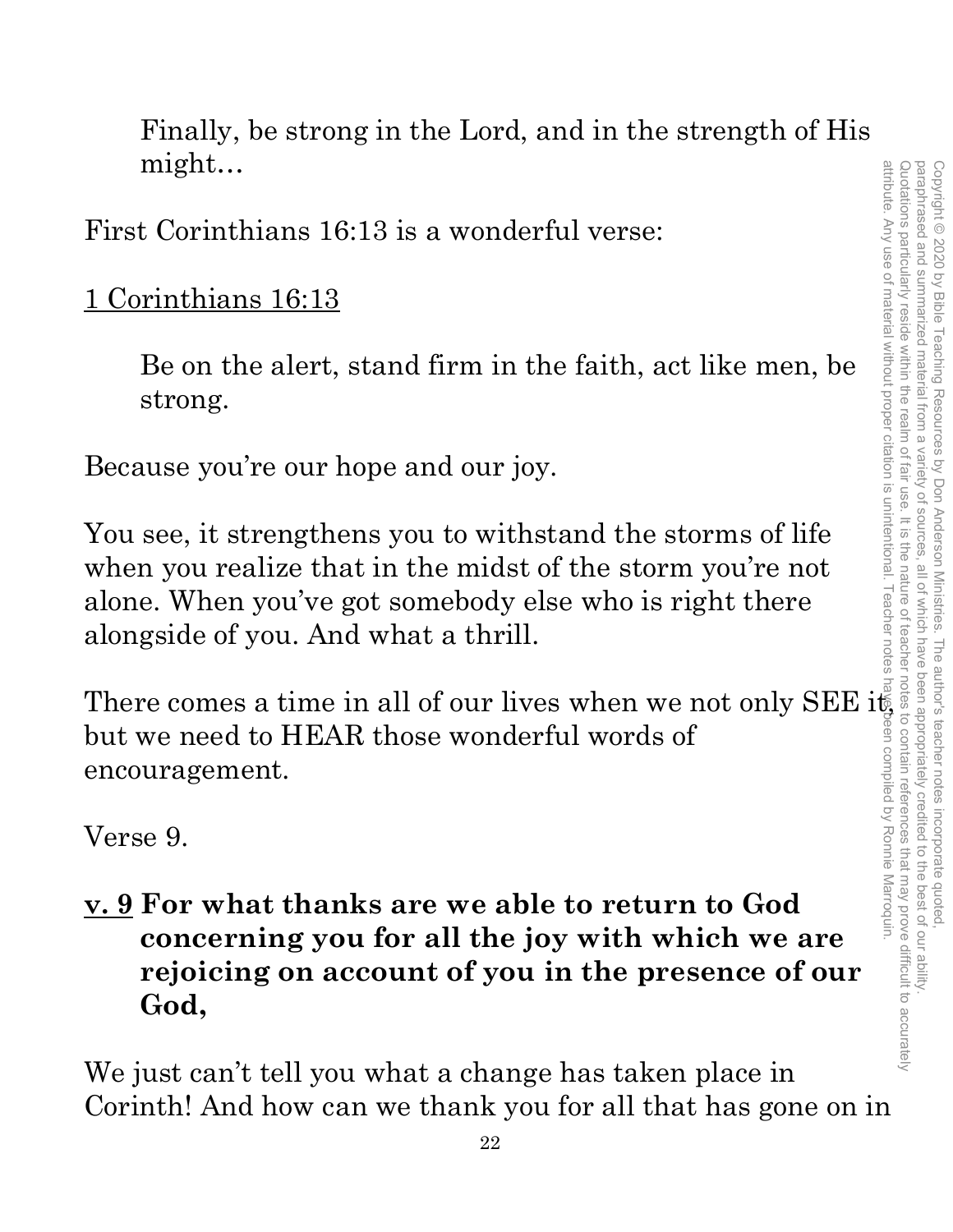Finally, be strong in the Lord, and in the strength of His might…

First Corinthians 16:13 is a wonderful verse:

1 Corinthians 16:13

Be on the alert, stand firm in the faith, act like men, be strong.

Because you're our hope and our joy.

You see, it strengthens you to withstand the storms of life when you realize that in the midst of the storm you're not alone. When you've got somebody else who is right there alongside of you. And what a thrill.

There comes a time in all of our lives when we not only SEE it, but we need to HEAR those wonderful words of encouragement.

Verse 9.

**v. 9 For what thanks are we able to return to God concerning you for all the joy with which we are rejoicing on account of you in the presence of our God,** 

We just can't tell you what a change has taken place in Corinth! And how can we thank you for all that has gone on in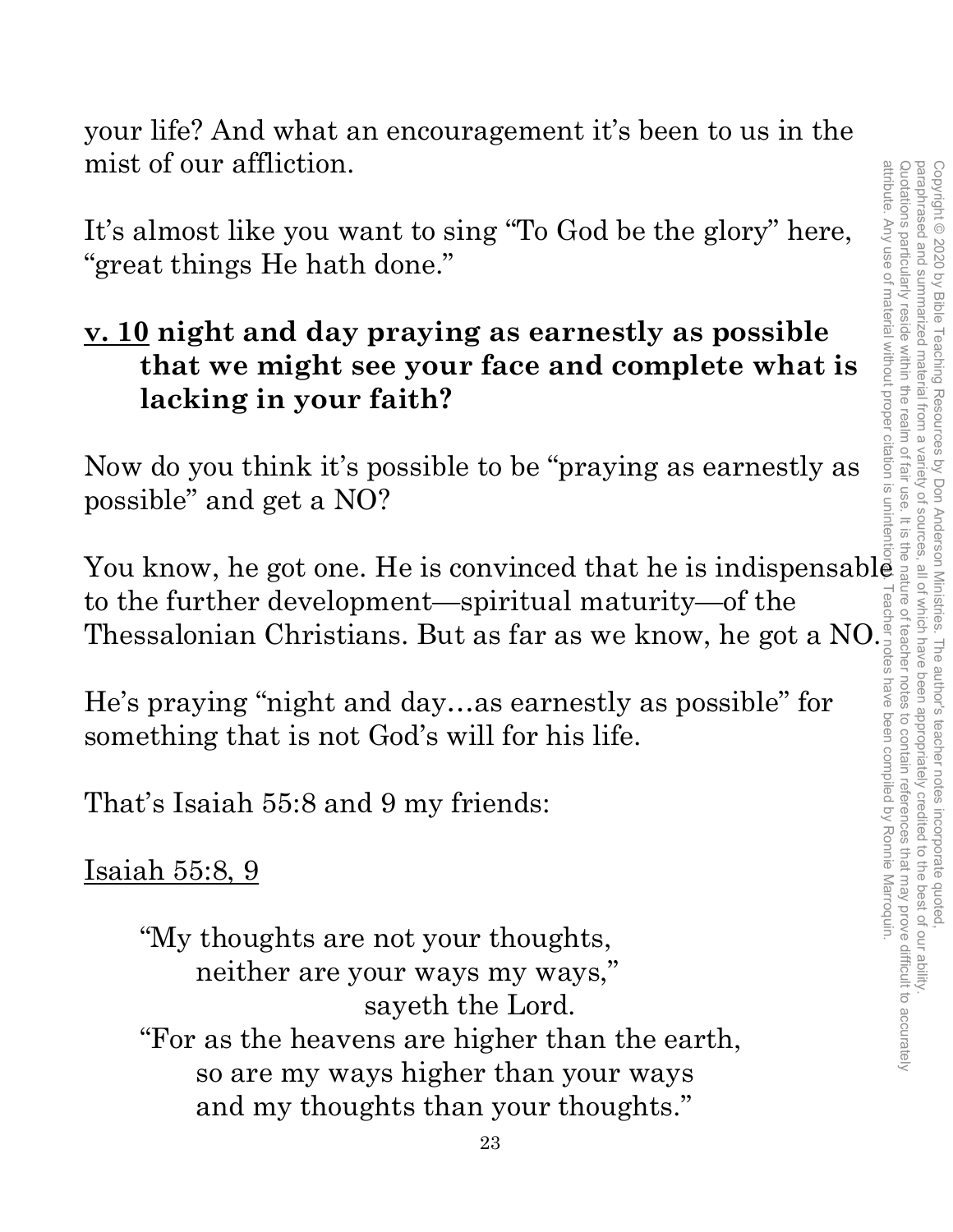your life? And what an encouragement it's been to us in the mist of our affliction.

It's almost like you want to sing "To God be the glory" here, "great things He hath done."

# **v. 10 night and day praying as earnestly as possible that we might see your face and complete what is lacking in your faith?**

Now do you think it's possible to be "praying as earnestly as possible" and get a NO?

You know, he got one. He is convinced that he is indispensable to the further development—spiritual maturity—of the to the further development—spiritual maturity—of the<br>
Thessalonian Christians. But as far as we know, he got a NO.<br>
He's praying "night and day...as earnestly as possible" for<br>
something that is not God's will for his lif

He's praying "night and day…as earnestly as possible" for something that is not God's will for his life.

That's Isaiah 55:8 and 9 my friends:

Isaiah 55:8, 9

"My thoughts are not your thoughts, neither are your ways my ways," sayeth the Lord. "For as the heavens are higher than the earth, so are my ways higher than your ways and my thoughts than your thoughts."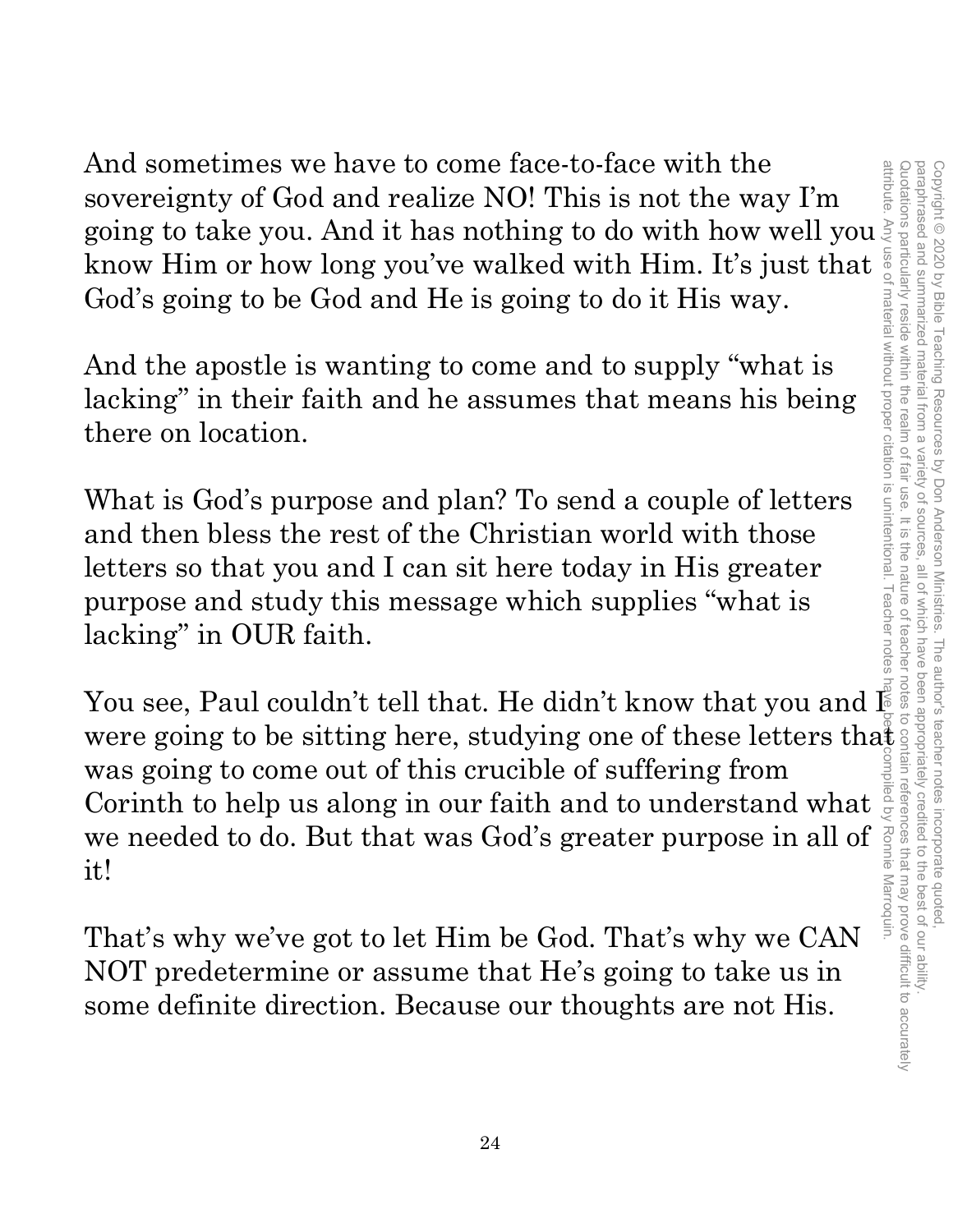And sometimes we have to come face-to-face with the sovereignty of God and realize NO! This is not the way I'm know Him or how long you've walked with Him. It's just that God's going to be God and He is going to do it His way.

And the apostle is wanting to come and to supply "what is lacking" in their faith and he assumes that means his being there on location.

And sometimes we nave to come race-to-race with the<br>sovereignty of God and realize NO! This is not the way I'm<br>going to take you. And it has nothing to do with how well you<br>know Him or how long you've walked with Him. It' What is God's purpose and plan? To send a couple of letters and then bless the rest of the Christian world with those letters so that you and I can sit here today in His greater purpose and study this message which supplies "what is lacking" in OUR faith.

You see, Paul couldn't tell that. He didn't know that you and  $\frac{1}{2}$ <br>were going to be sitting here, studying one of these letters that<br>was going to come out of this crucible of suffering from<br>Corinth to help us along i were going to be sitting here, studying one of these letters that was going to come out of this crucible of suffering from Corinth to help us along in our faith and to understand what we needed to do. But that was God's greater purpose in all of it!

That's why we've got to let Him be God. That's why we CAN NOT predetermine or assume that He's going to take us in some definite direction. Because our thoughts are not His.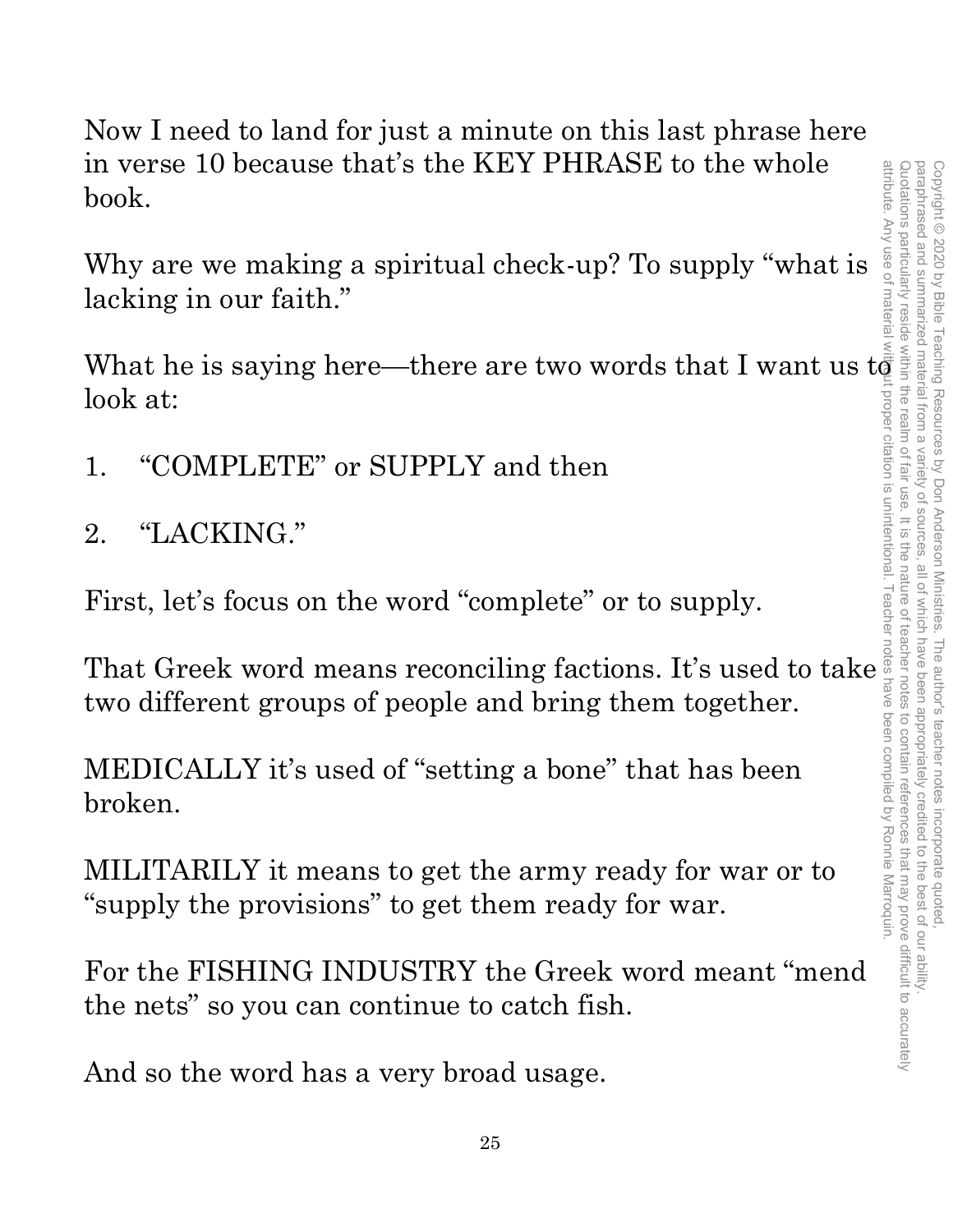paraphrased and summarized material from a attribute. Any use of material without proper citation is unintentional. Teacher notes have been compiled by Ronnie Marroquin.Quotations particularly reside within the realm of fair use. It is the nature of teacher notes to contain references that may prove difficult to accurately paraphrased and summarized material from a variety of sources, all of which have been appropriately credited to the best of our ability. Copyright © 2020 by Bible Teaching Resources by Don Anderson Ministries. The author's teacher notes incorporate quoted Copyright © 2020 by Bible Teaching Resources by Don Anderson Ministries. The author's teacher notes incorporate quoted, variety of all of which have been appropriately credited to the best of our ability

Now I need to land for just a minute on this last phrase here in verse 10 because that's the KEY PHRASE to the whole book.

Why are we making a spiritual check-up? To supply "what is lacking in our faith."

What he is saying here—there are two words that I want us t $\bar{\bar{\mathfrak{g}}}$ look at:

- 1. "COMPLETE" or SUPPLY and then
- 2. "LACKING."

First, let's focus on the word "complete" or to supply.

First, let's focus on the word "complete" or to supply.<br>
That Greek word means reconciling factions. It's used to take<br>
two different groups of people and bring them together.<br>
MEDICALLY it's used of "setting a bone" that two different groups of people and bring them together.

MEDICALLY it's used of "setting a bone" that has been broken.

MILITARILY it means to get the army ready for war or to "supply the provisions" to get them ready for war.

For the FISHING INDUSTRY the Greek word meant "mend the nets" so you can continue to catch fish.

And so the word has a very broad usage.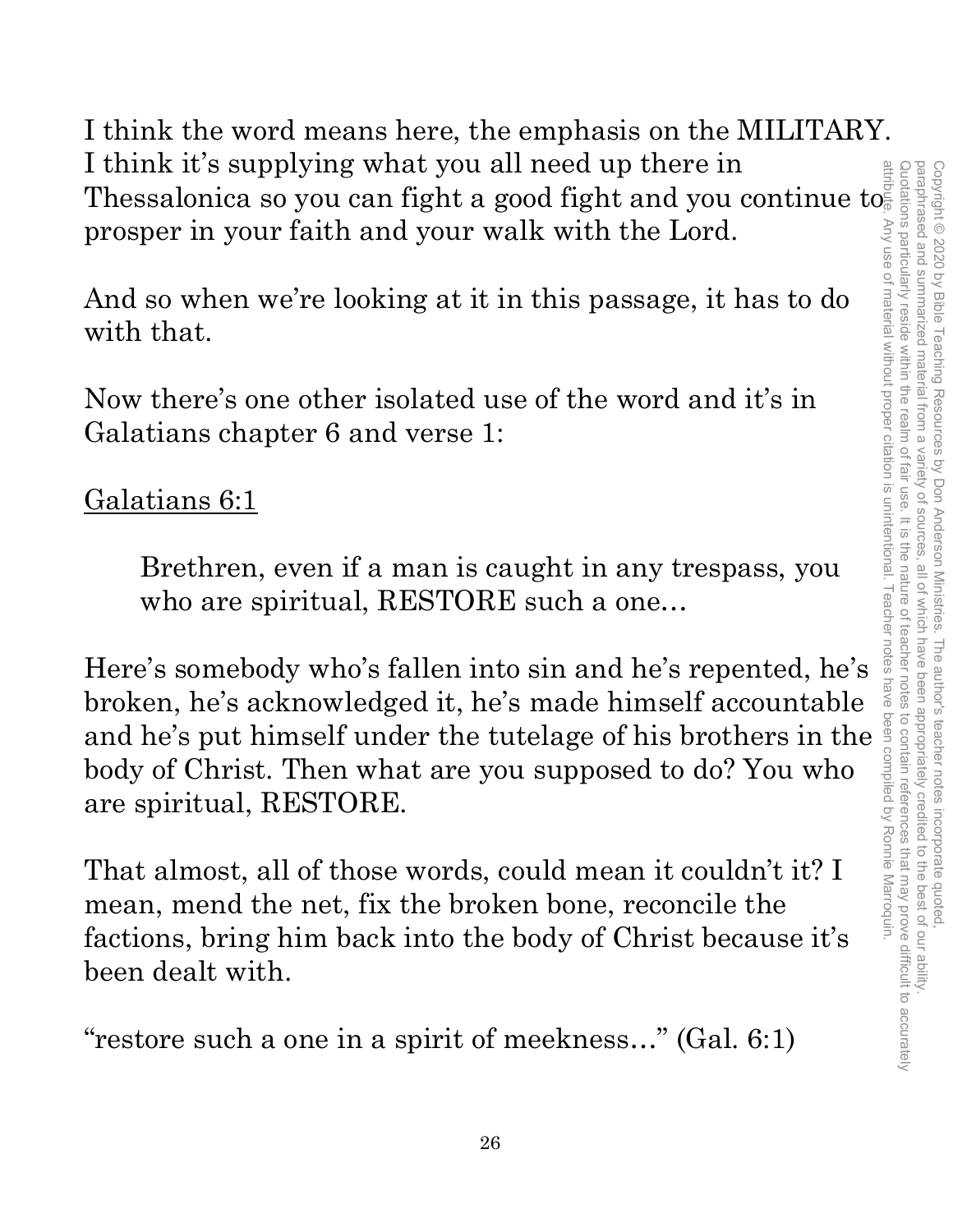I think the word means here, the emphasis on the MILITARY. I think it's supplying what you all need up there in prosper in your faith and your walk with the Lord.

And so when we're looking at it in this passage, it has to do with that.

Now there's one other isolated use of the word and it's in Galatians chapter 6 and verse 1:

# Galatians 6:1

Brethren, even if a man is caught in any trespass, you who are spiritual, RESTORE such a one…

I think it's supplying what you all need up there in<br>
Thessalonica so you can fight a good fight and you continue to<br>
prosper in your faith and your walk with the Lord.<br>
And so when we're looking at it in this passage, it Here's somebody who's fallen into sin and he's repented, he's broken, he's acknowledged it, he's made himself accountable and he's put himself under the tutelage of his brothers in the body of Christ. Then what are you supposed to do? You who are spiritual, RESTORE.

That almost, all of those words, could mean it couldn't it? I mean, mend the net, fix the broken bone, reconcile the factions, bring him back into the body of Christ because it's been dealt with.

"restore such a one in a spirit of meekness…" (Gal. 6:1)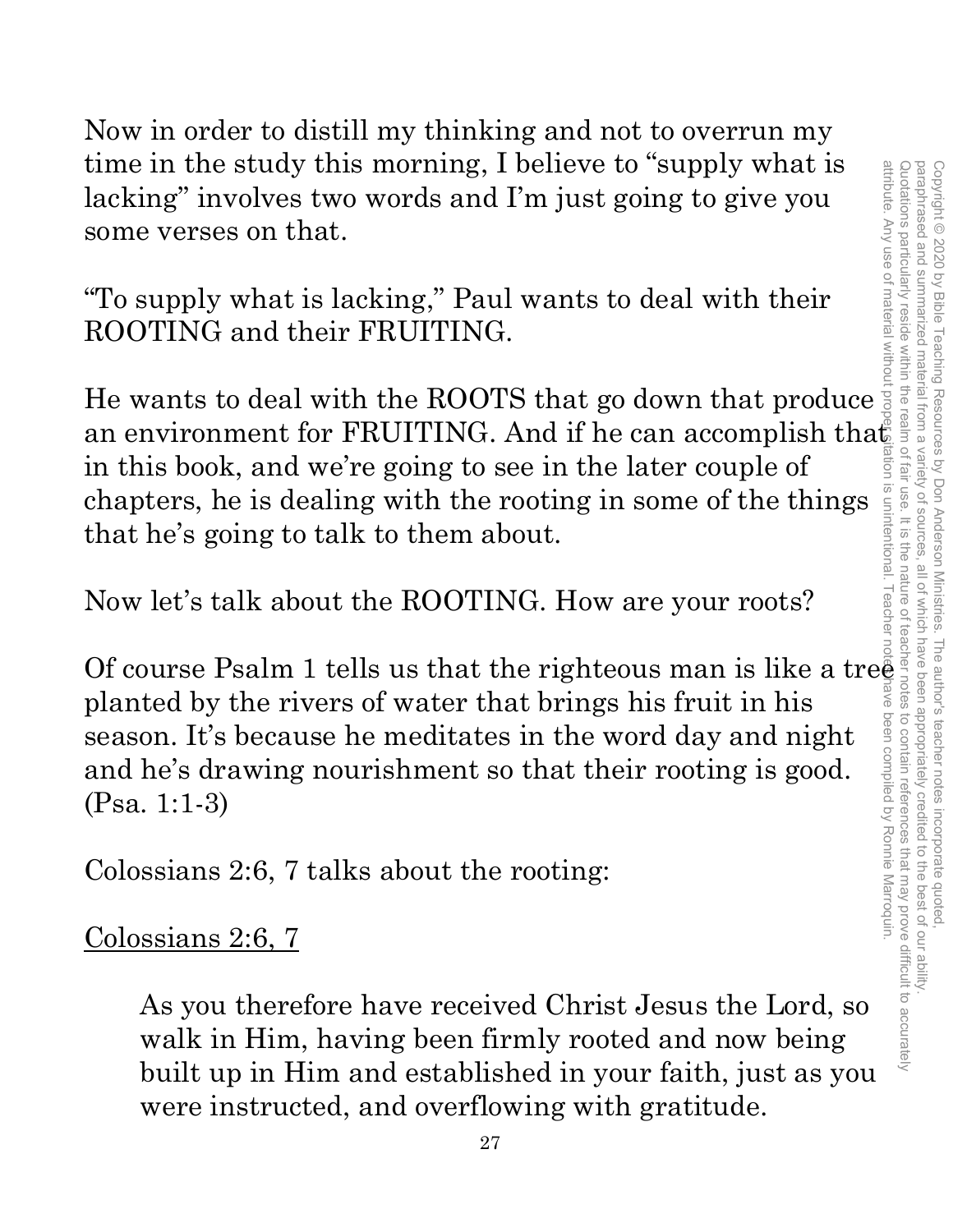Now in order to distill my thinking and not to overrun my time in the study this morning, I believe to "supply what is lacking" involves two words and I'm just going to give you some verses on that.

"To supply what is lacking," Paul wants to deal with their ROOTING and their FRUITING.

He wants to deal with the ROOTS that go down that produce an environment for FRUITING. And if he can accomplish that in this book, and we're going to see in the later couple of chapters, he is dealing with the rooting in some of the things that he's going to talk to them about.

Now let's talk about the ROOTING. How are your roots?

Of course Psalm 1 tells us that the righteous man is like a tree planted by the rivers of water that brings his fruit in his season. It's because he meditates in the word day and night and he's drawing nourishment so that their rooting is good. (Psa. 1:1-3) attribute. Any use of material without proper citation is unintentional. Teacher notes have been compiled by Ronnie Marroquin.

Colossians 2:6, 7 talks about the rooting:

Colossians 2:6, 7

As you therefore have received Christ Jesus the Lord, so walk in Him, having been firmly rooted and now being built up in Him and established in your faith, just as you were instructed, and overflowing with gratitude.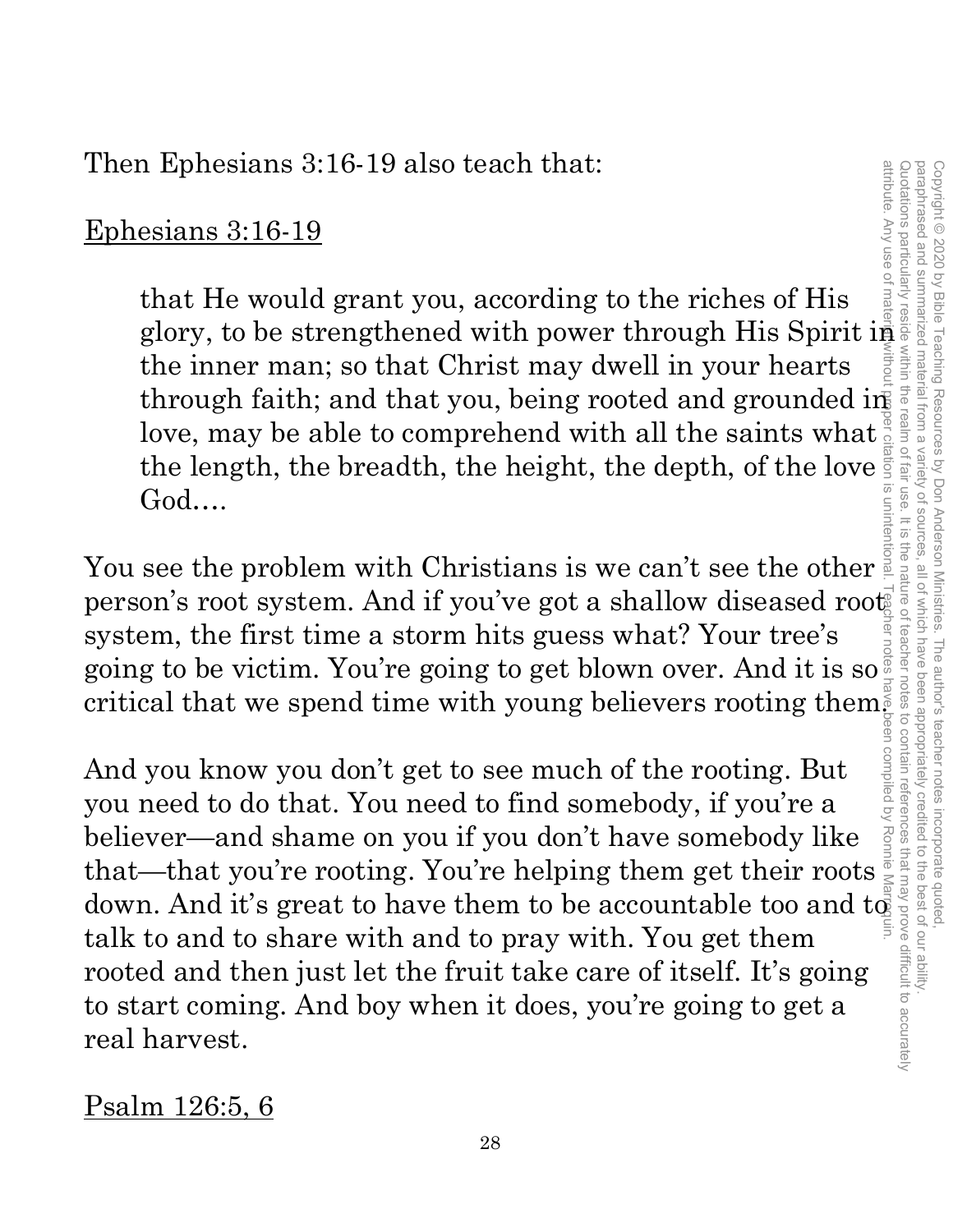Then Ephesians 3:16-19 also teach that:

#### Ephesians 3:16-19

that He would grant you, according to the riches of His glory, to be strengthened with power through His Spirit i $\frac{1}{12}$ the inner man; so that Christ may dwell in your hearts through faith; and that you, being rooted and grounded in love, may be able to comprehend with all the saints what the length, the breadth, the height, the depth, of the love God…. love, may be able to comprehend with all the saints what  $\frac{1}{2}$  the length, the breadth, the height, the depth, of the love  $\frac{1}{2}$  God....<br>You see the problem with Christians is we can't see the other

person's root system. And if you've got a shallow diseased root system, the first time a storm hits guess what? Your tree's going to be victim. You're going to get blown over. And it is so critical that we spend time with young believers rooting them.

And you know you don't get to see much of the rooting. But you need to do that. You need to find somebody, if you're a believer—and shame on you if you don't have somebody like that—that you're rooting. You're helping them get their roots down. And it's great to have them to be accountable too and  $\mathrm{t}\bar{\mathrm{d}}$ talk to and to share with and to pray with. You get them rooted and then just let the fruit take care of itself. It's going to start coming. And boy when it does, you're going to get a real harvest.

#### Psalm 126:5, 6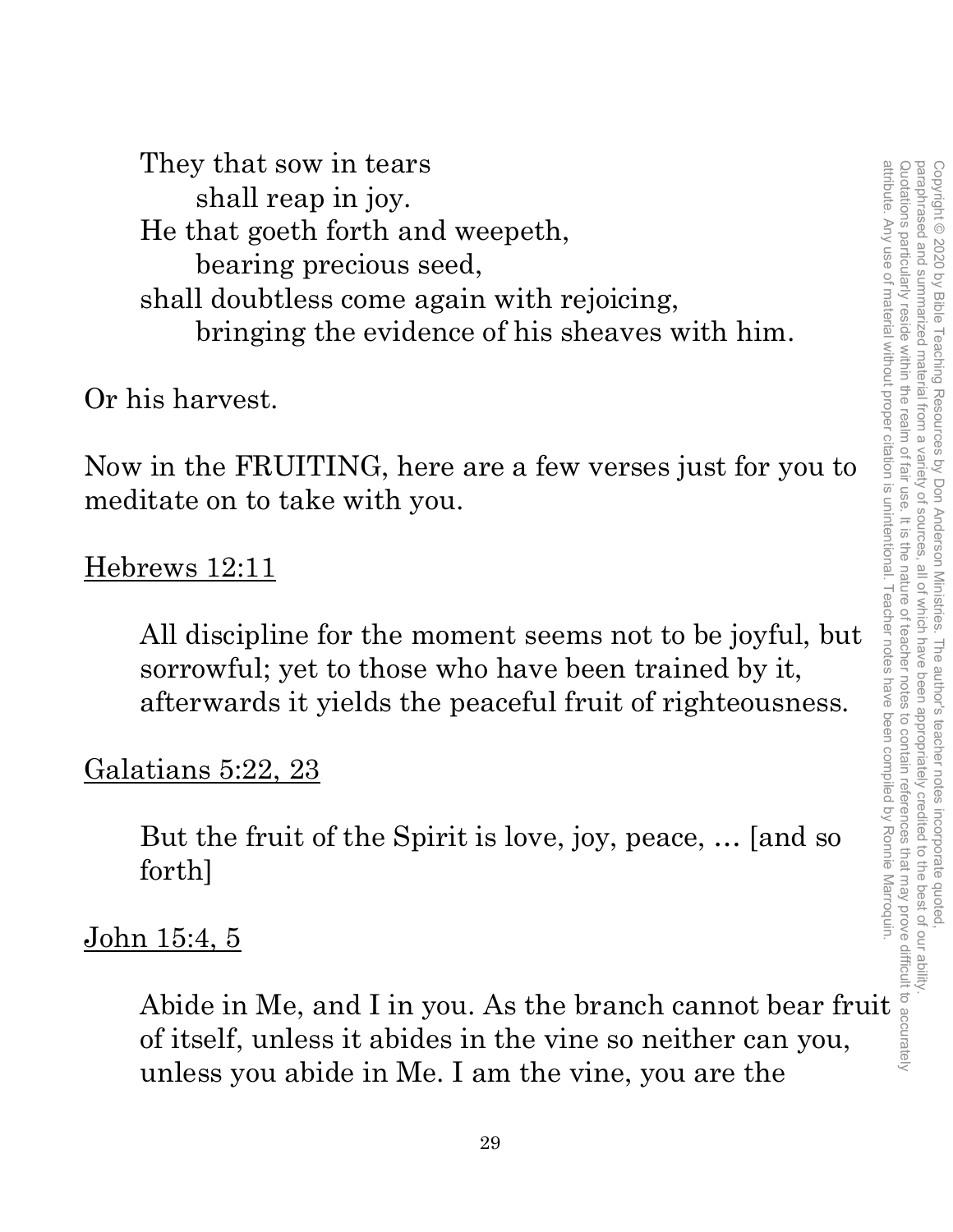He that goeth forth and weepeth, bearing precious seed, shall doubtless come again with rejoicing, bringing the evidence of his sheaves with him. Now in the FRUITING, here are a few verses just for you to meditate on to take with you. They that sow in tears<br>
and reap in joy.<br>
He that goeth forth and weepeth,<br>
bearing precious seed,<br>
shall doubtless come again with rejoicing,<br>
bringing the evidence of his sheaves with him.<br>
is harvest.<br>
in the FRUITING,

Hebrews 12:11

Or his harvest.

They that sow in tears

shall reap in joy.

All discipline for the moment seems not to be joyful, but sorrowful; yet to those who have been trained by it, afterwards it yields the peaceful fruit of righteousness.

#### Galatians 5:22, 23

But the fruit of the Spirit is love, joy, peace, … [and so forth]

John 15:4, 5

of itself, unless it abides in the vine so neither can you, unless you abide in Me. I am the vine, you are the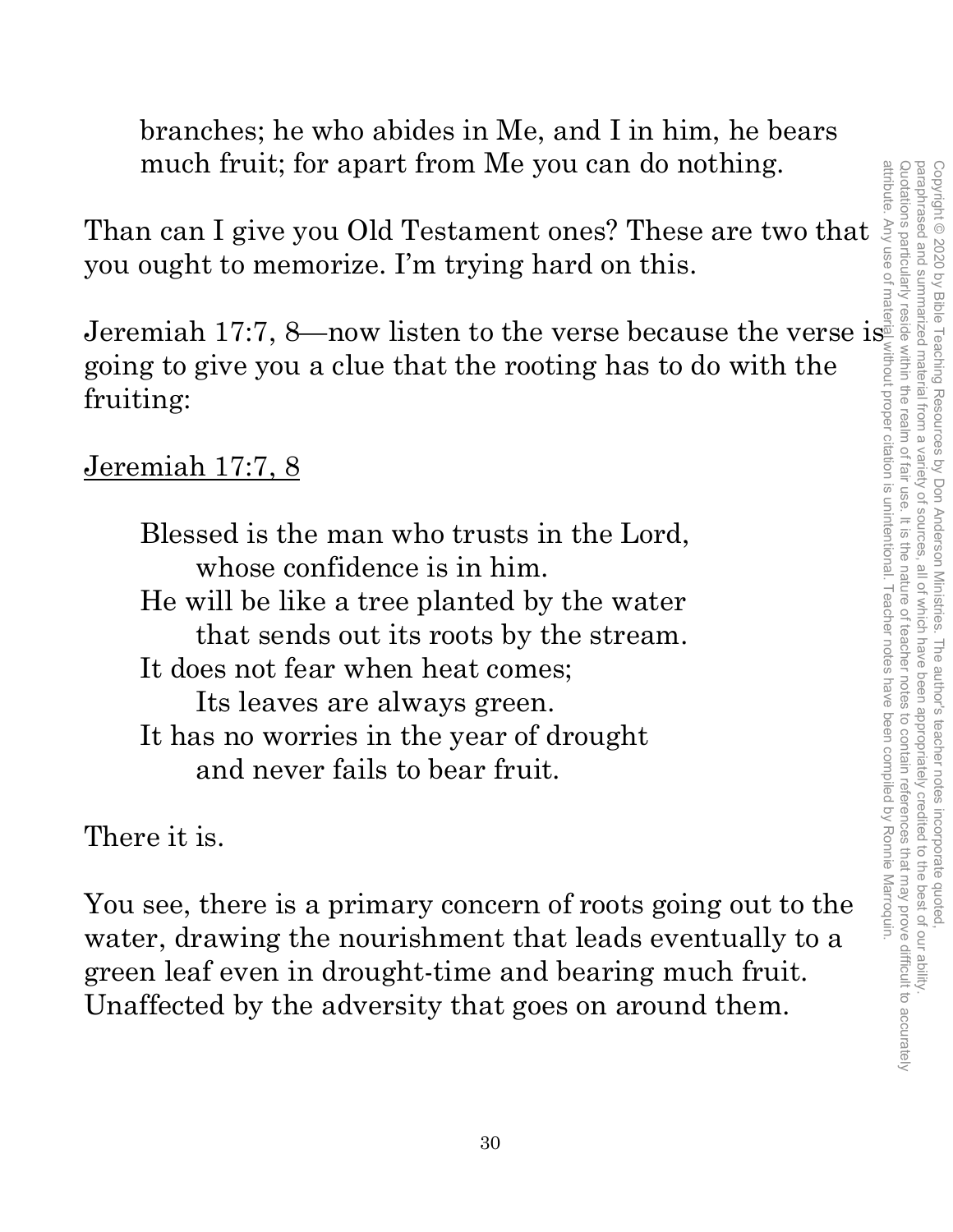branches; he who abides in Me, and I in him, he bears much fruit; for apart from Me you can do nothing.

Than can I give you Old Testament ones? These are two that you ought to memorize. I'm trying hard on this.

Jeremiah 17:7, 8—now listen to the verse because the verse is going to give you a clue that the rooting has to do with the fruiting:

#### Jeremiah 17:7, 8

Blessed is the man who trusts in the Lord, whose confidence is in him. He will be like a tree planted by the water that sends out its roots by the stream. It does not fear when heat comes; Its leaves are always green. It has no worries in the year of drought and never fails to bear fruit.

There it is.

You see, there is a primary concern of roots going out to the water, drawing the nourishment that leads eventually to a green leaf even in drought-time and bearing much fruit. Unaffected by the adversity that goes on around them.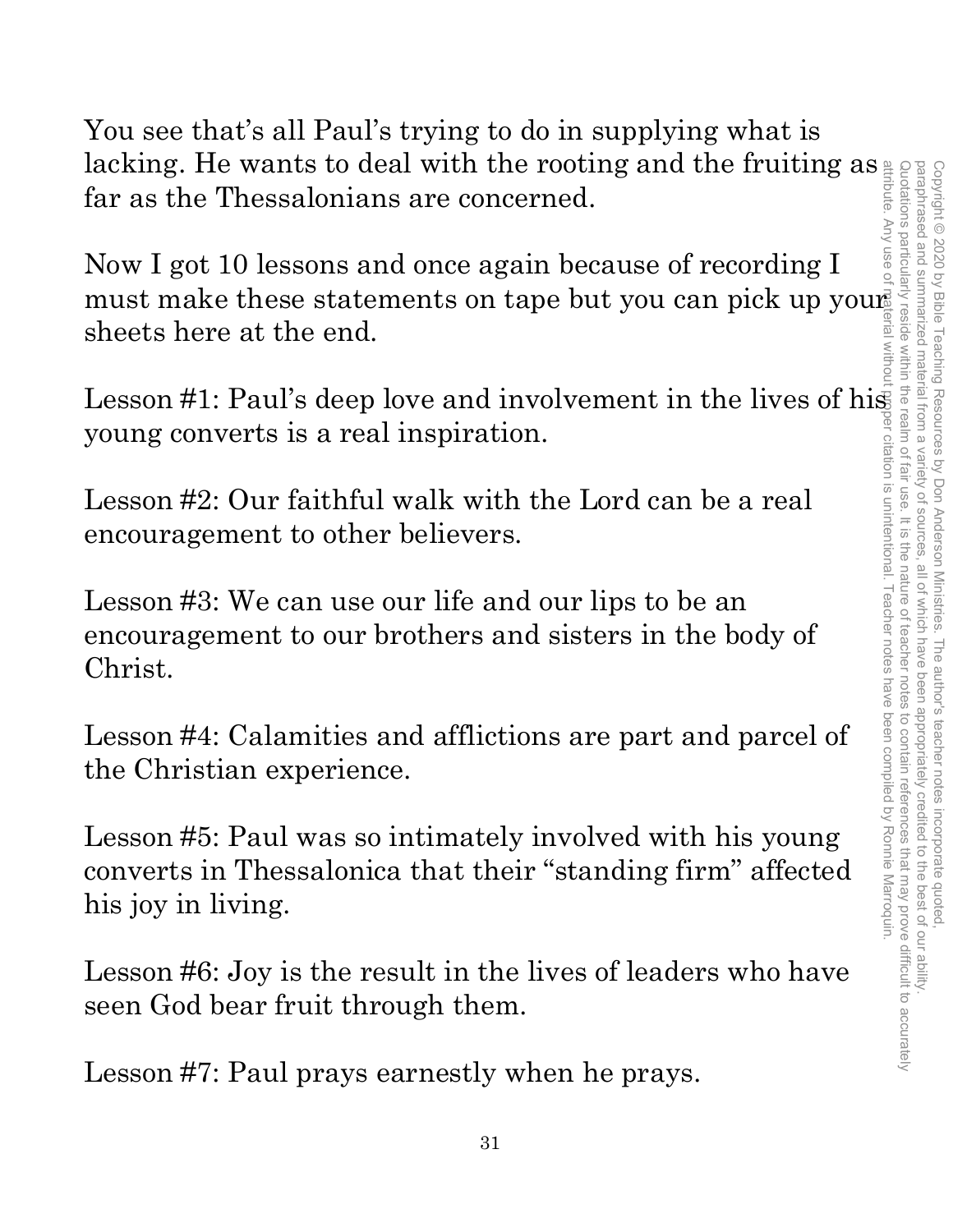You see that's all Paul's trying to do in supplying what is lacking. He wants to deal with the rooting and the fruiting as far as the Thessalonians are concerned.

Now I got 10 lessons and once again because of recording I must make these statements on tape but you can pick up your sheets here at the end.

Lesson #1: Paul's deep love and involvement in the lives of his young converts is a real inspiration.

Lesson #2: Our faithful walk with the Lord can be a real encouragement to other believers.

Lesson #3: We can use our life and our lips to be an encouragement to our brothers and sisters in the body of Christ.

Lesson #4: Calamities and afflictions are part and parcel of the Christian experience.

Lesson #5: Paul was so intimately involved with his young converts in Thessalonica that their "standing firm" affected his joy in living.

Lesson #6: Joy is the result in the lives of leaders who have seen God bear fruit through them.

Lesson #7: Paul prays earnestly when he prays.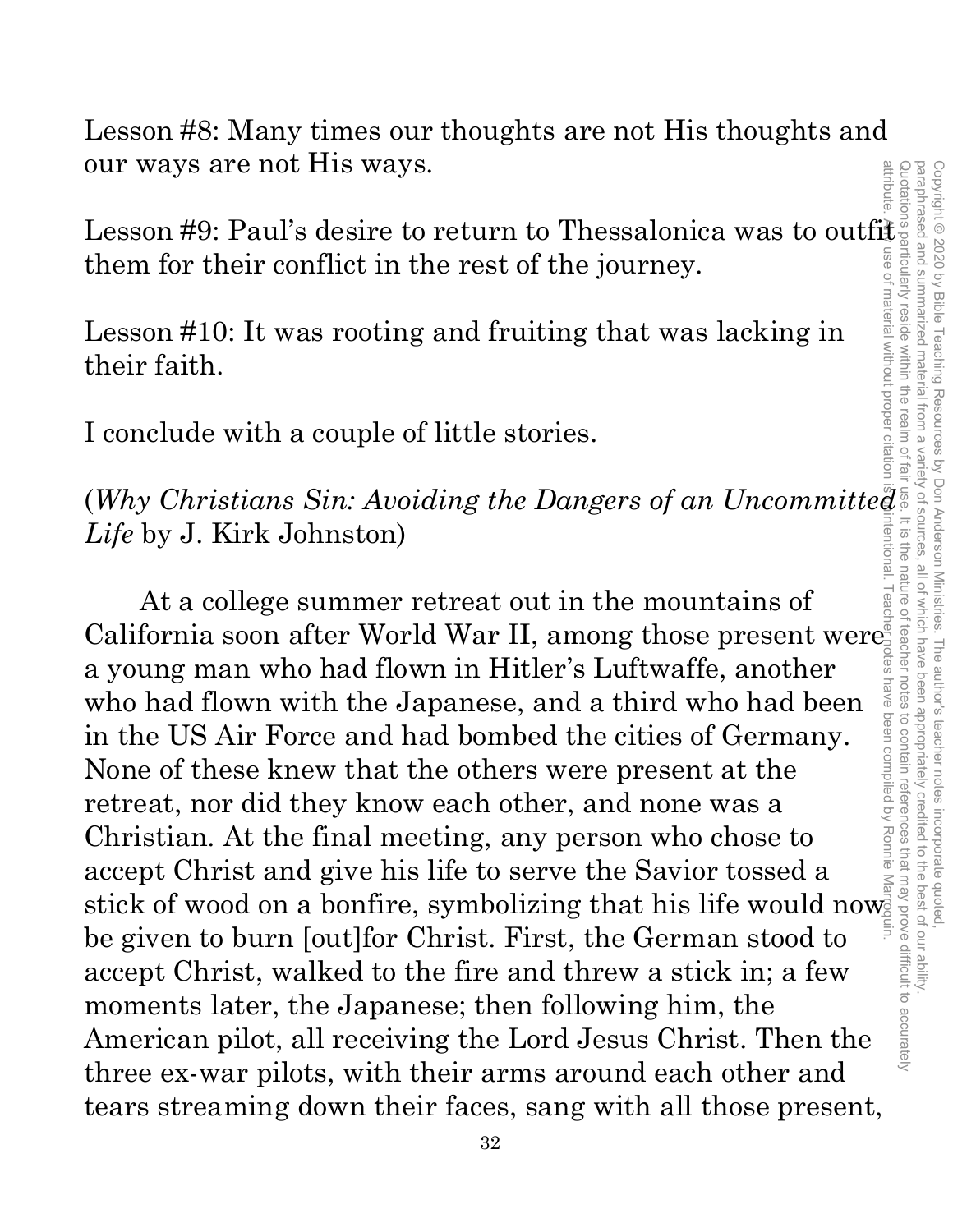paraphrased and summarized material from a attribute. Any use of material without proper citation is unintentional. Teacher notes have been compiled by Ronnie Marroquin.Quotations particularly reside within the realm of fair use. It is the nature of teacher notes to contain references that may prove difficult to accurately paraphrased and summarized material from a variety of sources, all of which have been appropriately credited to the best of our ability. Copyright © 2020 by Bible Teaching Resources Copyright © 2020 by Bible Teaching Resources by Don Anderson Ministries. The author's teacher notes incorporate quoted, variety of sources. by Don Anderson Ministries. The author's teacher notes incorporate quoted , all of which have been appropriately credited to the best of our ability

Lesson #8: Many times our thoughts are not His thoughts and our ways are not His ways.

Lesson #9: Paul's desire to return to Thessalonica was to outfi $\mathbf{t}_3^{\ast}$ them for their conflict in the rest of the journey.

Lesson #10: It was rooting and fruiting that was lacking in their faith.

I conclude with a couple of little stories.

# (*Why Christians Sin: Avoiding the Dangers of an Uncommitted Life* by J. Kirk Johnston)

At a college summer retreat out in the mountains of California soon after World War II, among those present were a young man who had flown in Hitler's Luftwaffe, another who had flown with the Japanese, and a third who had been in the US Air Force and had bombed the cities of Germany. None of these knew that the others were present at the retreat, nor did they know each other, and none was a Christian. At the final meeting, any person who chose to accept Christ and give his life to serve the Savior tossed a stick of wood on a bonfire, symbolizing that his life would now be given to burn [out]for Christ. First, the German stood to accept Christ, walked to the fire and threw a stick in; a few moments later, the Japanese; then following him, the American pilot, all receiving the Lord Jesus Christ. Then the three ex-war pilots, with their arms around each other and tears streaming down their faces, sang with all those present,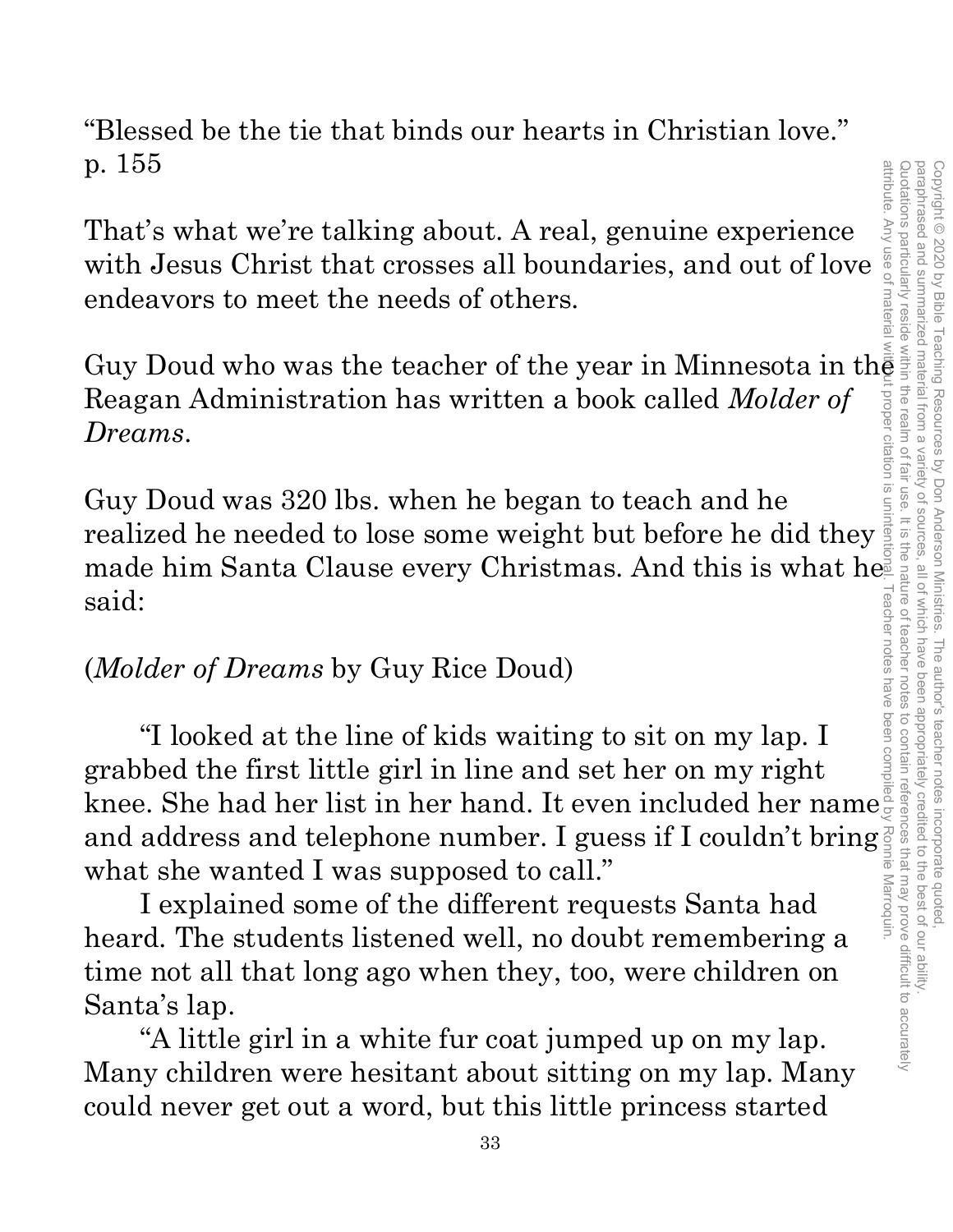"Blessed be the tie that binds our hearts in Christian love." p. 155

That's what we're talking about. A real, genuine experience with Jesus Christ that crosses all boundaries, and out of love endeavors to meet the needs of others.

Guy Doud who was the teacher of the year in Minnesota in the Reagan Administration has written a book called *Molder of Dreams*.

Guy Doud was 320 lbs. when he began to teach and he realized he needed to lose some weight but before he did they made him Santa Clause every Christmas. And this is what he said:

# (*Molder of Dreams* by Guy Rice Doud)

 "I looked at the line of kids waiting to sit on my lap. I grabbed the first little girl in line and set her on my right knee. She had her list in her hand. It even included her name and address and telephone number. I guess if I couldn't bring  $\frac{1}{2}$ <br>what she wanted I was supposed to call."<br>I explained some of the different requests Santa had<br>heard. The students listed at linking a dault rememberi what she wanted I was supposed to call." attribute. Any use of material without proper citation is unintentional. Teacher notes have been compiled by Ronnie Marroquin.

I explained some of the different requests Santa had heard. The students listened well, no doubt remembering a time not all that long ago when they, too, were children on Santa's lap.

 "A little girl in a white fur coat jumped up on my lap. Many children were hesitant about sitting on my lap. Many could never get out a word, but this little princess started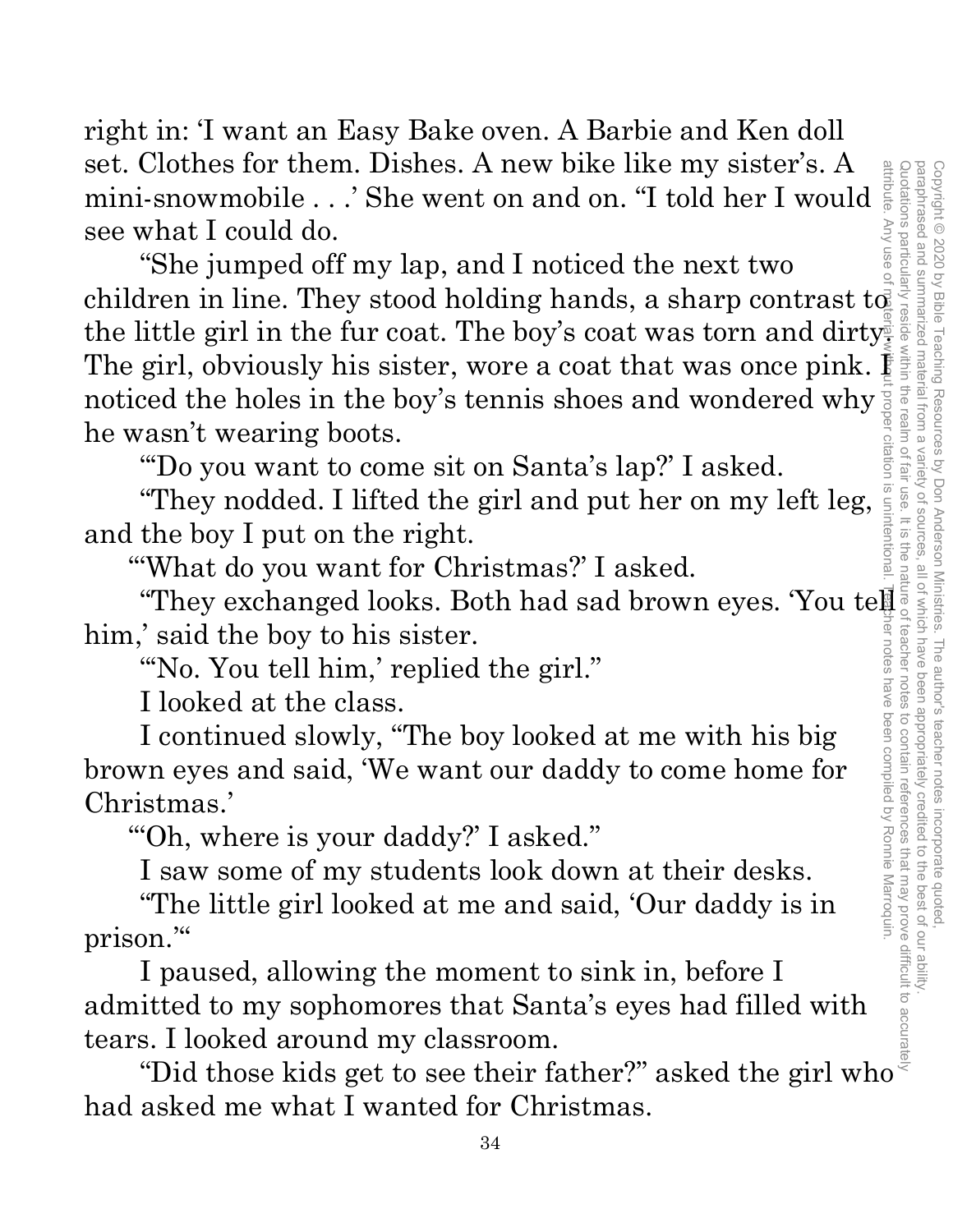paraphrased and summarized material from a attribute. Any use of material without proper citation is unintentional. Teacher notes have been compiled by Ronnie Marroquin.Quotations particularly reside within the realm of fair use. It is the nature of teacher notes to contain references that may prove difficult to accurately paraphrased and summarized material from a variety of sources, all of which have been appropriately credited to the best of our ability. Copyright © 2020 by Bible Teaching Resources Copyright © 2020 by Bible Teaching Resources by Don Anderson Ministries. The author's teacher notes incorporate quoted, by Don Anderson Ministries. The author's teacher notes incorporate quoted segurces all of Which have been appropriately credited to the best of our ability

right in: 'I want an Easy Bake oven. A Barbie and Ken doll set. Clothes for them. Dishes. A new bike like my sister's. A set. Clothes for them. Dishes. A new bike like my sister's. A<br>mini-snowmobile . . .' She went on and on. "I told her I would see what I could do.<br>"She jumped off my lap, and I noticed the next two see what I could do.

 "She jumped off my lap, and I noticed the next two set. Unthus for them. Dishes. A new bike like my sister s. A<br>mini-snowmobile . . .'She went on and on. "I told her I would<br>see what I could do.<br>"She jumped off my lap, and I noticed the next two<br>children in line. They stoo the little girl in the fur coat. The boy's coat was torn and dirty. The girl, obviously his sister, wore a coat that was once pink. I noticed the holes in the boy's tennis shoes and wondered why  $\frac{3}{8}$  he wasn't wearing boots.<br>"Do you want to come sit on Santa's lap?' I asked.<br>"They nodded. I lifted the girl and put her on my left leg,  $\frac{2}{8}$  and he wasn't wearing boots.

"'Do you want to come sit on Santa's lap?' I asked.

 "They nodded. I lifted the girl and put her on my left leg, and the boy I put on the right.

"'What do you want for Christmas?' I asked.

"They exchanged looks. Both had sad brown eyes. 'You tell him,' said the boy to his sister.

"'No. You tell him,' replied the girl."

I looked at the class.

I continued slowly, "The boy looked at me with his big brown eyes and said, 'We want our daddy to come home for Christmas.'

"'Oh, where is your daddy?' I asked."

I saw some of my students look down at their desks.

 "The little girl looked at me and said, 'Our daddy is in prison."

I paused, allowing the moment to sink in, before I admitted to my sophomores that Santa's eyes had filled with tears. I looked around my classroom.

 "Did those kids get to see their father?" asked the girl who had asked me what I wanted for Christmas.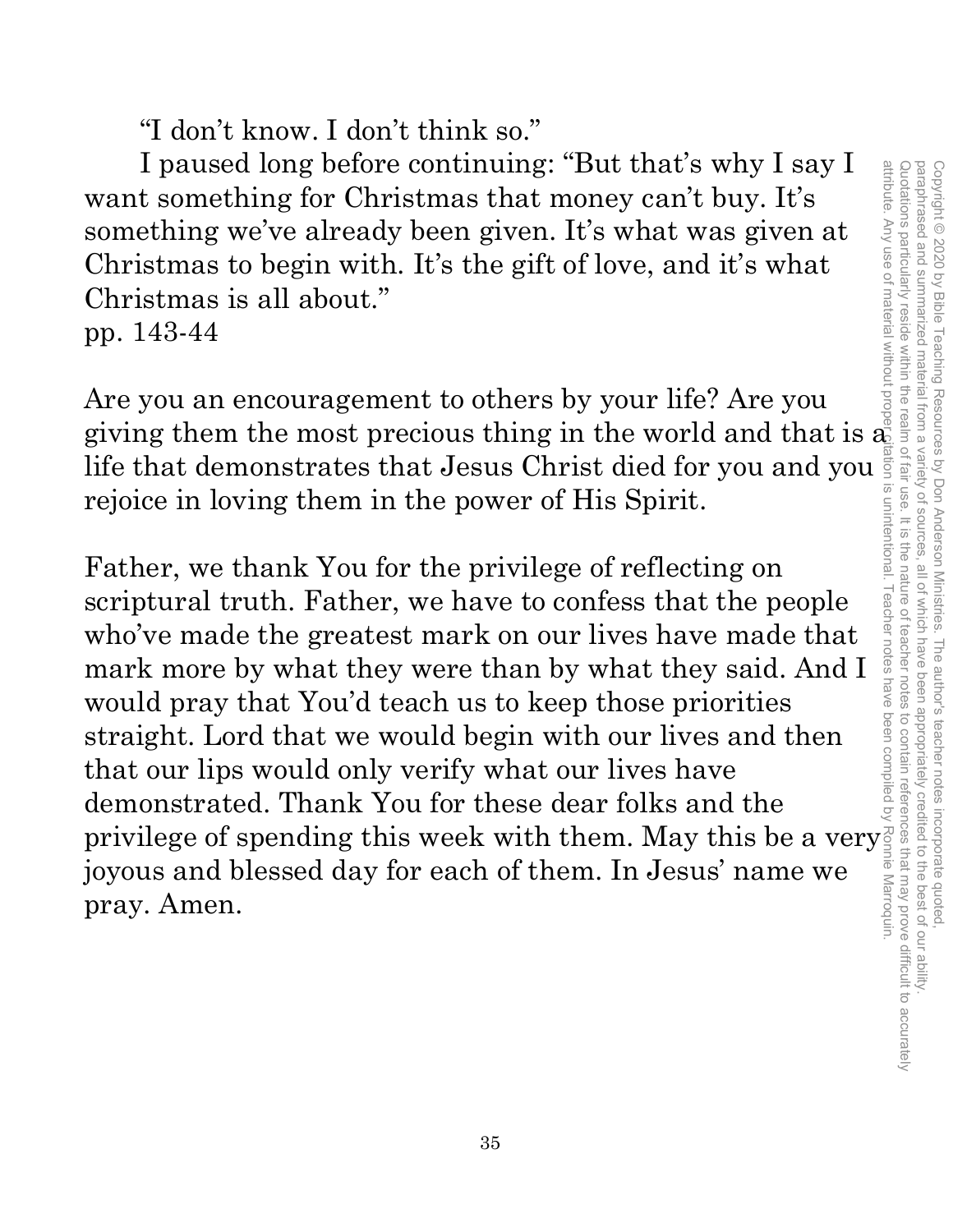paraphrased and summarized material from a variety of sources. attribute. Any use of material without proper citation is unintentional. Teacher notes have been compiled by Ronnie Marroquin.Quotations particularly reside within the realm of fair use. It is the nature of teacher notes to contain references that may prove difficult to accurately paraphrased and summarized material from a variety of sources, all of which have been appropriately credited to the best of our ability. Copyright © 2020 by Bible Teaching Resources by Don Anderson Ministries. The author's teacher notes incorporate quoted Copyright © 2020 by Bible Teaching Resources by Don Anderson Ministries. The author's teacher notes incorporate quoted, , all of which have been appropriately credited to the best of our ability

"I don't know. I don't think so."

I paused long before continuing: "But that's why I say I want something for Christmas that money can't buy. It's something we've already been given. It's what was given at Christmas to begin with. It's the gift of love, and it's what Christmas is all about." pp. 143-44

Are you an encouragement to others by your life? Are you giving them the most precious thing in the world and that is a life that demonstrates that Jesus Christ died for you and you rejoice in loving them in the power of His Spirit.

Father, we thank You for the privilege of reflecting on scriptural truth. Father, we have to confess that the people who've made the greatest mark on our lives have made that mark more by what they were than by what they said. And I would pray that You'd teach us to keep those priorities straight. Lord that we would begin with our lives and then that our lips would only verify what our lives have demonstrated. Thank You for these dear folks and the privilege of spending this week with them. May this be a very joyous and blessed day for each of them. In Jesus' name we pray. Amen.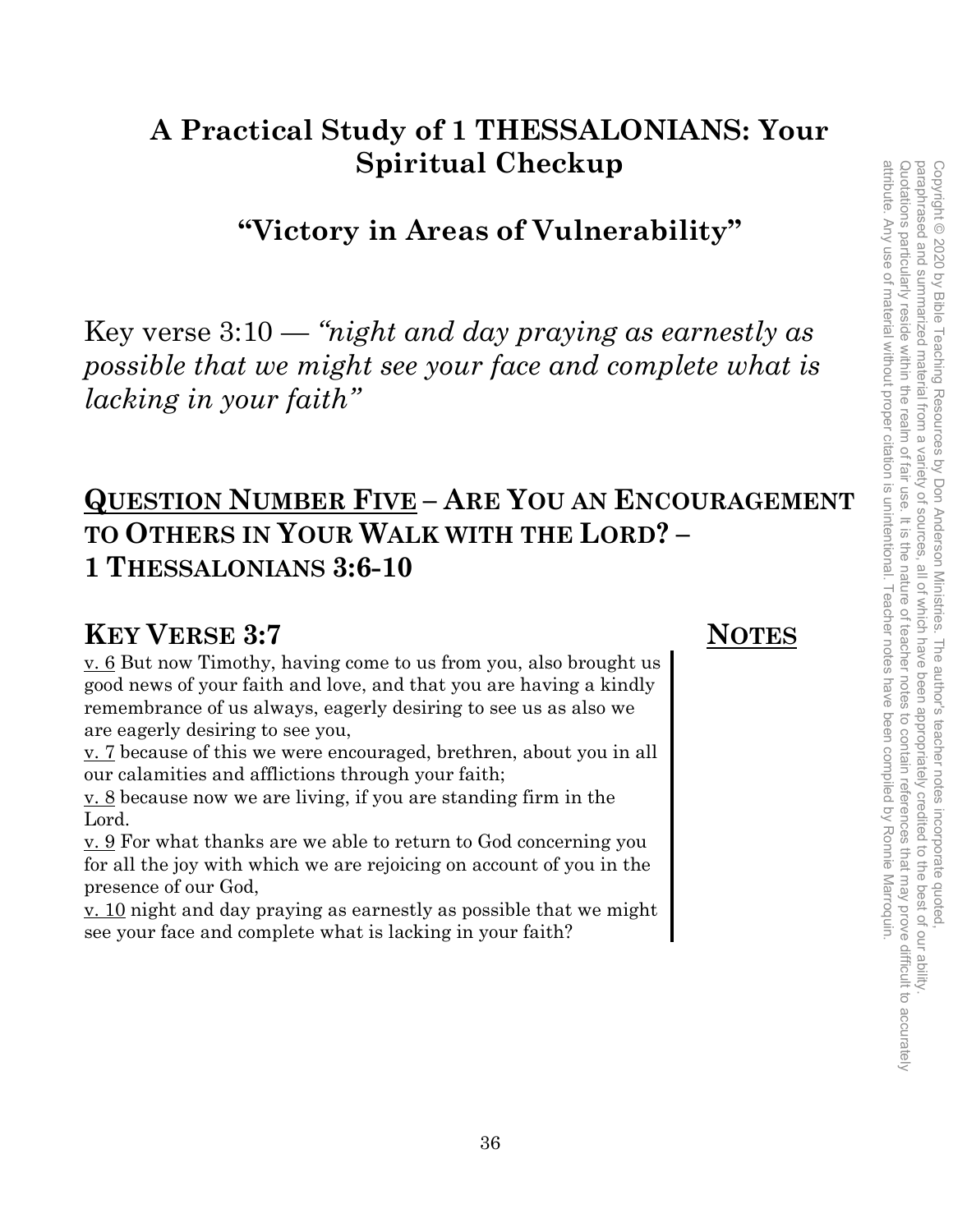# **A Practical Study of 1 THESSALONIANS: Your Spiritual Checkup**

**"Victory in Areas of Vulnerability"** 

Key verse 3:10 — *"night and day praying as earnestly as possible that we might see your face and complete what is lacking in your faith"* 

### **QUESTION NUMBER FIVE – ARE YOU AN ENCOURAGEMENT TO OTHERS IN YOUR WALK WITH THE LORD? – 1 THESSALONIANS 3:6-10**

#### **KEY VERSE 3:7 NOTES**

v. 6 But now Timothy, having come to us from you, also brought us good news of your faith and love, and that you are having a kindly remembrance of us always, eagerly desiring to see us as also we are eagerly desiring to see you,

<u>v. 7</u> because of this we were encouraged, brethren, about you in all our calamities and afflictions through your faith;

v. 8 because now we are living, if you are standing firm in the Lord.

v. 9 For what thanks are we able to return to God concerning you for all the joy with which we are rejoicing on account of you in the presence of our God,

v. 10 night and day praying as earnestly as possible that we might see your face and complete what is lacking in your faith?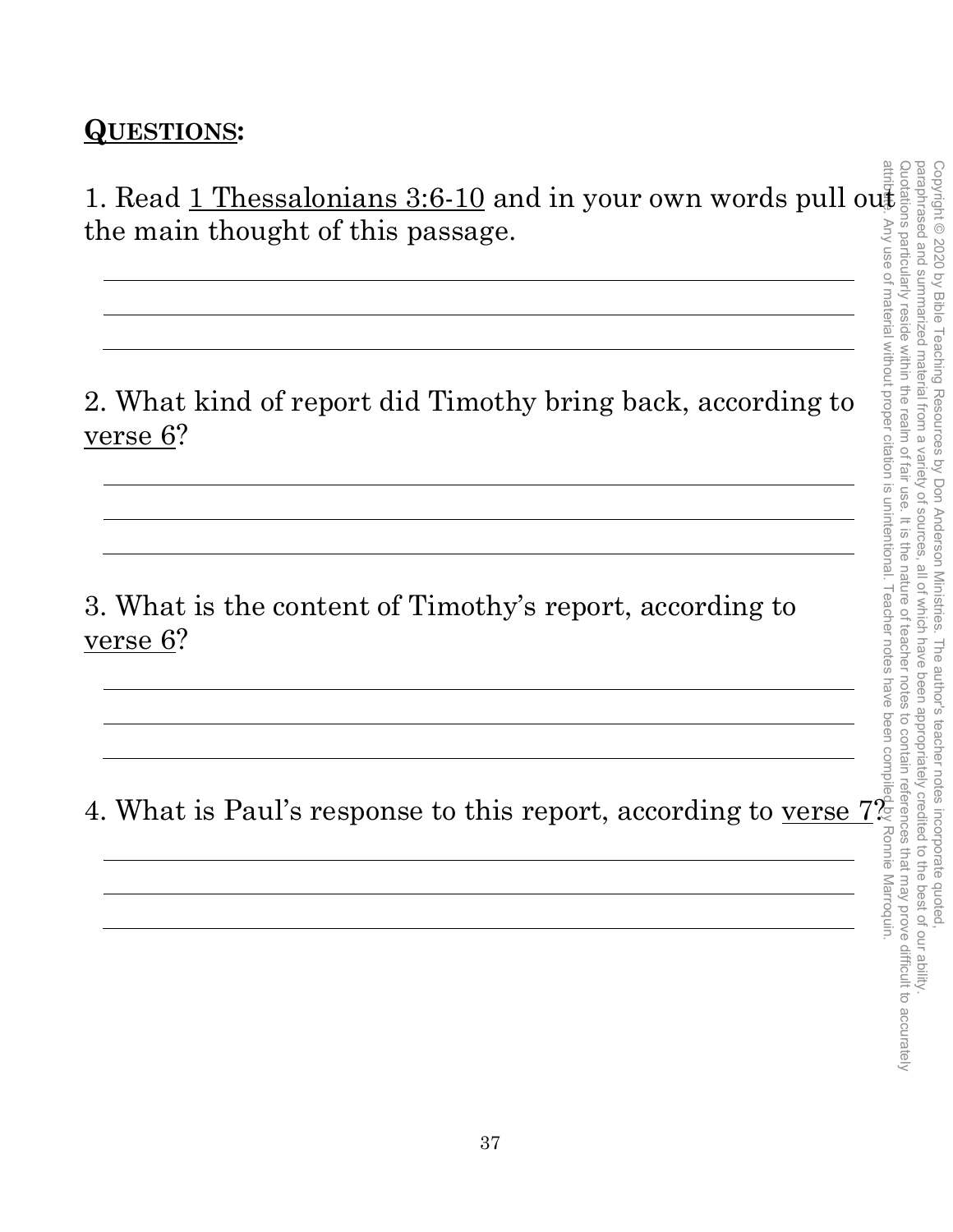#### **QUESTIONS:**

1. Read 1 Thessalonians 3:6-10 and in your own words pull out the main thought of this passage.

2. What kind of report did Timothy bring back, according to verse 6?

3. What is the content of Timothy's report, according to verse 6?

4. What is Paul's response to this report, according to <u>verse 72</u>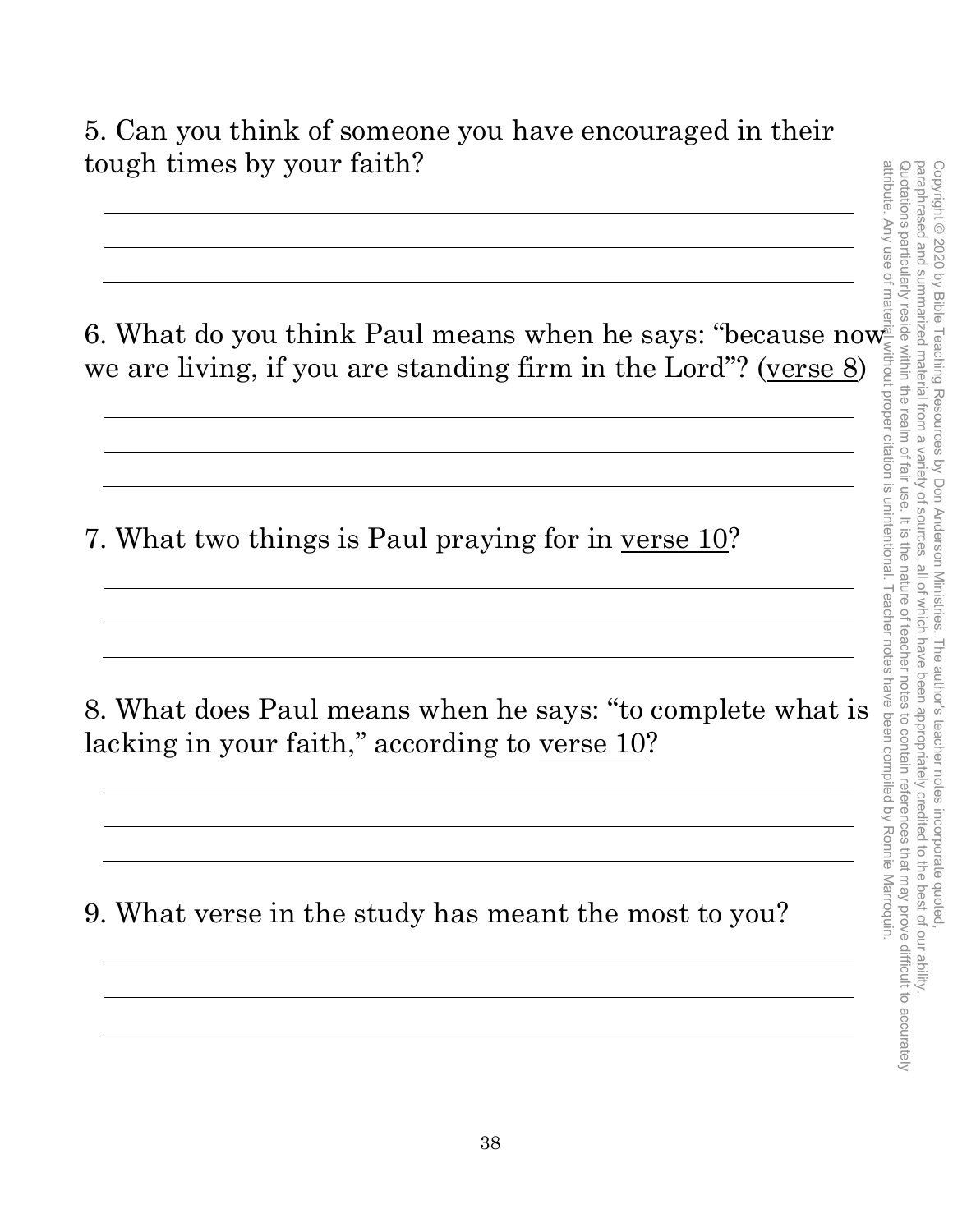5. Can you think of someone you have encouraged in their tough times by your faith?

6. What do you think Paul means when he says: "because now  $\frac{1}{s}$ we are living, if you are standing firm in the Lord"? (verse 8)

7. What two things is Paul praying for in verse 10?

8. What does Paul means when he says: "to complete what is lacking in your faith," according to <u>verse 10</u>?

9. What verse in the study has meant the most to you?

<u> 1989 - Johann Stoff, deutscher Stoff, der Stoff, der Stoff, der Stoff, der Stoff, der Stoff, der Stoff, der S</u>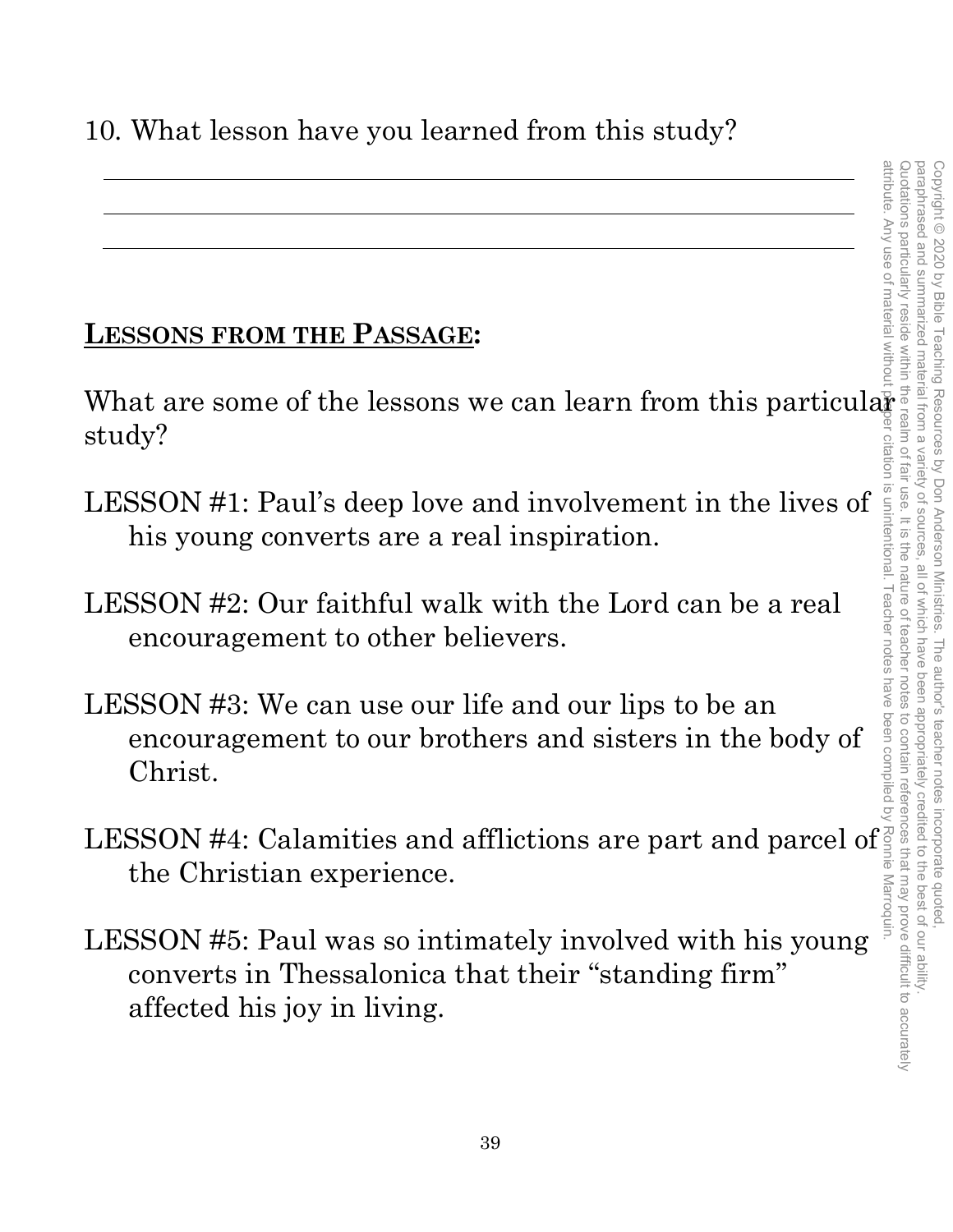# **LESSONS FROM THE PASSAGE:**

What are some of the lessons we can learn from this particular study?

- LESSON #1: Paul's deep love and involvement in the lives of his young converts are a real inspiration.
- LESSON #2: Our faithful walk with the Lord can be a real encouragement to other believers.
- LESSON #3: We can use our life and our lips to be an encouragement to our brothers and sisters in the body of Christ.
- LESSON #4: Calamities and afflictions are part and parcel of the Christian experience.
- LESSON #5: Paul was so intimately involved with his young converts in Thessalonica that their "standing firm" affected his joy in living.